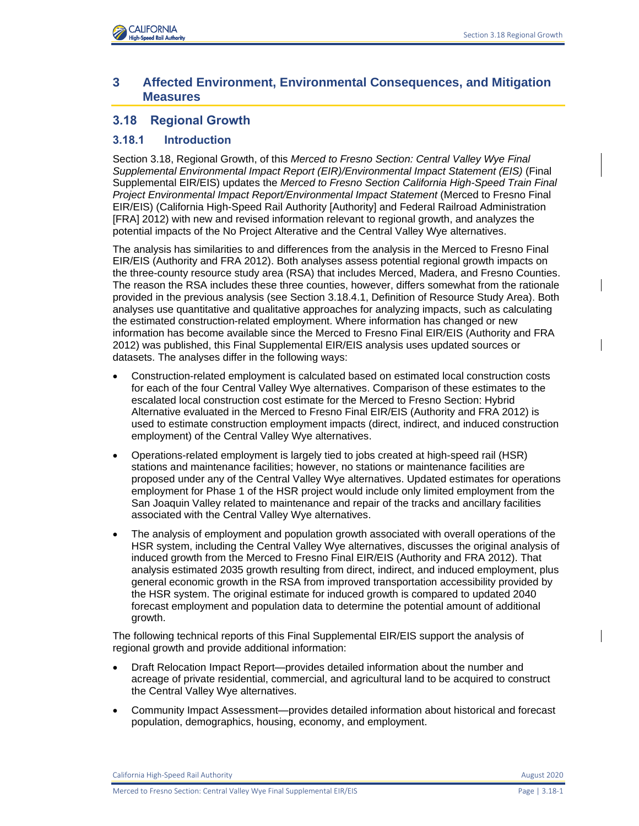

# **3 Affected Environment, Environmental Consequences, and Mitigation Measures**

# **3.18 Regional Growth**

# **3.18.1 Introduction**

Section 3.18, Regional Growth, of this *Merced to Fresno Section: Central Valley Wye Final Supplemental Environmental Impact Report (EIR)/Environmental Impact Statement (EIS)* (Final Supplemental EIR/EIS) updates the *Merced to Fresno Section California High-Speed Train Final Project Environmental Impact Report/Environmental Impact Statement* (Merced to Fresno Final EIR/EIS) (California High-Speed Rail Authority [Authority] and Federal Railroad Administration [FRA] 2012) with new and revised information relevant to regional growth, and analyzes the potential impacts of the No Project Alterative and the Central Valley Wye alternatives.

The analysis has similarities to and differences from the analysis in the Merced to Fresno Final EIR/EIS (Authority and FRA 2012). Both analyses assess potential regional growth impacts on the three-county resource study area (RSA) that includes Merced, Madera, and Fresno Counties. The reason the RSA includes these three counties, however, differs somewhat from the rationale provided in the previous analysis (see Section 3.18.4.1, Definition of Resource Study Area). Both analyses use quantitative and qualitative approaches for analyzing impacts, such as calculating the estimated construction-related employment. Where information has changed or new information has become available since the Merced to Fresno Final EIR/EIS (Authority and FRA 2012) was published, this Final Supplemental EIR/EIS analysis uses updated sources or datasets. The analyses differ in the following ways:

- Construction-related employment is calculated based on estimated local construction costs for each of the four Central Valley Wye alternatives. Comparison of these estimates to the escalated local construction cost estimate for the Merced to Fresno Section: Hybrid Alternative evaluated in the Merced to Fresno Final EIR/EIS (Authority and FRA 2012) is used to estimate construction employment impacts (direct, indirect, and induced construction employment) of the Central Valley Wye alternatives.
- Operations-related employment is largely tied to jobs created at high-speed rail (HSR) stations and maintenance facilities; however, no stations or maintenance facilities are proposed under any of the Central Valley Wye alternatives. Updated estimates for operations employment for Phase 1 of the HSR project would include only limited employment from the San Joaquin Valley related to maintenance and repair of the tracks and ancillary facilities associated with the Central Valley Wye alternatives.
- The analysis of employment and population growth associated with overall operations of the HSR system, including the Central Valley Wye alternatives, discusses the original analysis of induced growth from the Merced to Fresno Final EIR/EIS (Authority and FRA 2012). That analysis estimated 2035 growth resulting from direct, indirect, and induced employment, plus general economic growth in the RSA from improved transportation accessibility provided by the HSR system. The original estimate for induced growth is compared to updated 2040 forecast employment and population data to determine the potential amount of additional growth.

The following technical reports of this Final Supplemental EIR/EIS support the analysis of regional growth and provide additional information:

- Draft Relocation Impact Report—provides detailed information about the number and acreage of private residential, commercial, and agricultural land to be acquired to construct the Central Valley Wye alternatives.
- Community Impact Assessment—provides detailed information about historical and forecast population, demographics, housing, economy, and employment.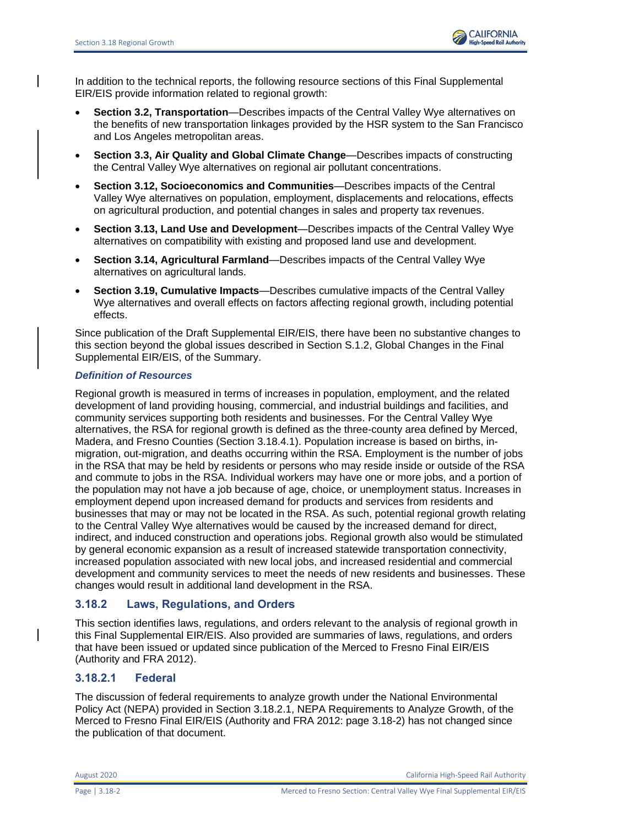

In addition to the technical reports, the following resource sections of this Final Supplemental EIR/EIS provide information related to regional growth:

- **Section 3.2, Transportation**—Describes impacts of the Central Valley Wye alternatives on the benefits of new transportation linkages provided by the HSR system to the San Francisco and Los Angeles metropolitan areas.
- **Section 3.3, Air Quality and Global Climate Change**—Describes impacts of constructing the Central Valley Wye alternatives on regional air pollutant concentrations.
- **Section 3.12, Socioeconomics and Communities**—Describes impacts of the Central Valley Wye alternatives on population, employment, displacements and relocations, effects on agricultural production, and potential changes in sales and property tax revenues.
- **Section 3.13, Land Use and Development**—Describes impacts of the Central Valley Wye alternatives on compatibility with existing and proposed land use and development.
- **Section 3.14, Agricultural Farmland**—Describes impacts of the Central Valley Wye alternatives on agricultural lands.
- **Section 3.19, Cumulative Impacts**—Describes cumulative impacts of the Central Valley Wye alternatives and overall effects on factors affecting regional growth, including potential effects.

Since publication of the Draft Supplemental EIR/EIS, there have been no substantive changes to this section beyond the global issues described in Section S.1.2, Global Changes in the Final Supplemental EIR/EIS, of the Summary.

### *Definition of Resources*

Regional growth is measured in terms of increases in population, employment, and the related development of land providing housing, commercial, and industrial buildings and facilities, and community services supporting both residents and businesses. For the Central Valley Wye alternatives, the RSA for regional growth is defined as the three-county area defined by Merced, Madera, and Fresno Counties (Section 3.18.4.1). Population increase is based on births, inmigration, out-migration, and deaths occurring within the RSA. Employment is the number of jobs in the RSA that may be held by residents or persons who may reside inside or outside of the RSA and commute to jobs in the RSA. Individual workers may have one or more jobs, and a portion of the population may not have a job because of age, choice, or unemployment status. Increases in employment depend upon increased demand for products and services from residents and businesses that may or may not be located in the RSA. As such, potential regional growth relating to the Central Valley Wye alternatives would be caused by the increased demand for direct, indirect, and induced construction and operations jobs. Regional growth also would be stimulated by general economic expansion as a result of increased statewide transportation connectivity, increased population associated with new local jobs, and increased residential and commercial development and community services to meet the needs of new residents and businesses. These changes would result in additional land development in the RSA.

# **3.18.2 Laws, Regulations, and Orders**

This section identifies laws, regulations, and orders relevant to the analysis of regional growth in this Final Supplemental EIR/EIS. Also provided are summaries of laws, regulations, and orders that have been issued or updated since publication of the Merced to Fresno Final EIR/EIS (Authority and FRA 2012).

# **3.18.2.1 Federal**

The discussion of federal requirements to analyze growth under the National Environmental Policy Act (NEPA) provided in Section 3.18.2.1, NEPA Requirements to Analyze Growth, of the Merced to Fresno Final EIR/EIS (Authority and FRA 2012: page 3.18-2) has not changed since the publication of that document.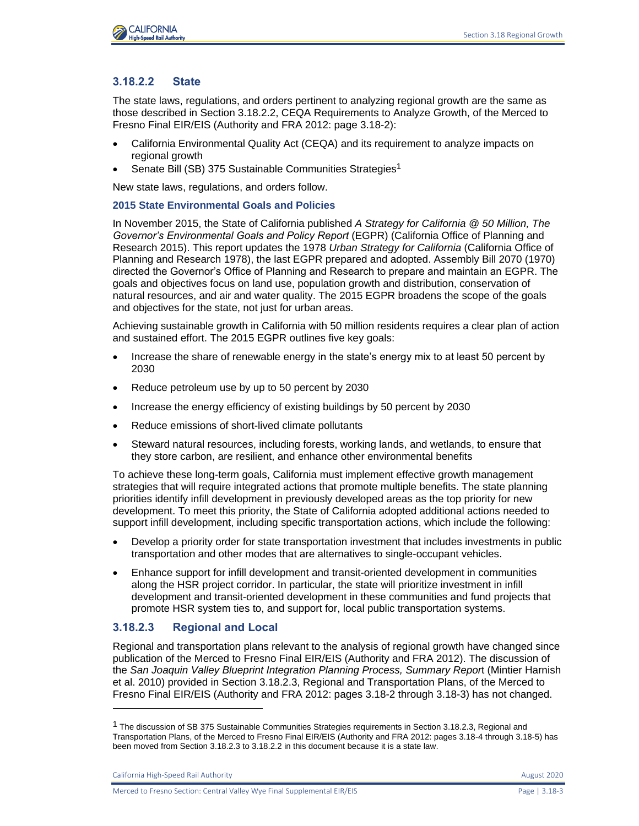

# **3.18.2.2 State**

The state laws, regulations, and orders pertinent to analyzing regional growth are the same as those described in Section 3.18.2.2, CEQA Requirements to Analyze Growth, of the Merced to Fresno Final EIR/EIS (Authority and FRA 2012: page 3.18-2):

- California Environmental Quality Act (CEQA) and its requirement to analyze impacts on regional growth
- Senate Bill (SB) 375 Sustainable Communities Strategies<sup>1</sup>

New state laws, regulations, and orders follow.

#### **2015 State Environmental Goals and Policies**

In November 2015, the State of California published *A Strategy for California @ 50 Million, The Governor's Environmental Goals and Policy Report* (EGPR) (California Office of Planning and Research 2015). This report updates the 1978 *Urban Strategy for California* (California Office of Planning and Research 1978), the last EGPR prepared and adopted. Assembly Bill 2070 (1970) directed the Governor's Office of Planning and Research to prepare and maintain an EGPR. The goals and objectives focus on land use, population growth and distribution, conservation of natural resources, and air and water quality. The 2015 EGPR broadens the scope of the goals and objectives for the state, not just for urban areas.

Achieving sustainable growth in California with 50 million residents requires a clear plan of action and sustained effort. The 2015 EGPR outlines five key goals:

- Increase the share of renewable energy in the state's energy mix to at least 50 percent by 2030
- Reduce petroleum use by up to 50 percent by 2030
- Increase the energy efficiency of existing buildings by 50 percent by 2030
- Reduce emissions of short-lived climate pollutants
- Steward natural resources, including forests, working lands, and wetlands, to ensure that they store carbon, are resilient, and enhance other environmental benefits

To achieve these long-term goals, California must implement effective growth management strategies that will require integrated actions that promote multiple benefits. The state planning priorities identify infill development in previously developed areas as the top priority for new development. To meet this priority, the State of California adopted additional actions needed to support infill development, including specific transportation actions, which include the following:

- Develop a priority order for state transportation investment that includes investments in public transportation and other modes that are alternatives to single-occupant vehicles.
- Enhance support for infill development and transit-oriented development in communities along the HSR project corridor. In particular, the state will prioritize investment in infill development and transit-oriented development in these communities and fund projects that promote HSR system ties to, and support for, local public transportation systems.

# **3.18.2.3 Regional and Local**

Regional and transportation plans relevant to the analysis of regional growth have changed since publication of the Merced to Fresno Final EIR/EIS (Authority and FRA 2012). The discussion of the *San Joaquin Valley Blueprint Integration Planning Process, Summary Repor*t (Mintier Harnish et al. 2010) provided in Section 3.18.2.3, Regional and Transportation Plans, of the Merced to Fresno Final EIR/EIS (Authority and FRA 2012: pages 3.18-2 through 3.18-3) has not changed.

California High-Speed Rail Authority **August 2020 August 2020** 

Merced to Fresno Section: Central Valley Wye Final Supplemental EIR/EIS Page | 3.18-3

<sup>&</sup>lt;sup>1</sup> The discussion of SB 375 Sustainable Communities Strategies requirements in Section 3.18.2.3, Regional and Transportation Plans, of the Merced to Fresno Final EIR/EIS (Authority and FRA 2012: pages 3.18-4 through 3.18-5) has been moved from Section 3.18.2.3 to 3.18.2.2 in this document because it is a state law.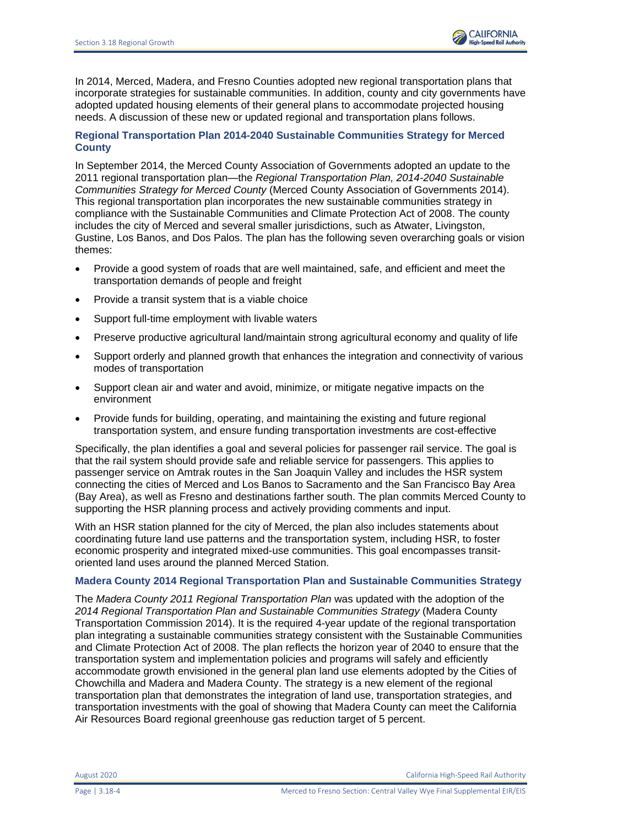In 2014, Merced, Madera, and Fresno Counties adopted new regional transportation plans that incorporate strategies for sustainable communities. In addition, county and city governments have adopted updated housing elements of their general plans to accommodate projected housing needs. A discussion of these new or updated regional and transportation plans follows.

### **Regional Transportation Plan 2014-2040 Sustainable Communities Strategy for Merced County**

In September 2014, the Merced County Association of Governments adopted an update to the 2011 regional transportation plan—the *Regional Transportation Plan, 2014-2040 Sustainable Communities Strategy for Merced County* (Merced County Association of Governments 2014). This regional transportation plan incorporates the new sustainable communities strategy in compliance with the Sustainable Communities and Climate Protection Act of 2008. The county includes the city of Merced and several smaller jurisdictions, such as Atwater, Livingston, Gustine, Los Banos, and Dos Palos. The plan has the following seven overarching goals or vision themes:

- Provide a good system of roads that are well maintained, safe, and efficient and meet the transportation demands of people and freight
- Provide a transit system that is a viable choice
- Support full-time employment with livable waters
- Preserve productive agricultural land/maintain strong agricultural economy and quality of life
- Support orderly and planned growth that enhances the integration and connectivity of various modes of transportation
- Support clean air and water and avoid, minimize, or mitigate negative impacts on the environment
- Provide funds for building, operating, and maintaining the existing and future regional transportation system, and ensure funding transportation investments are cost-effective

Specifically, the plan identifies a goal and several policies for passenger rail service. The goal is that the rail system should provide safe and reliable service for passengers. This applies to passenger service on Amtrak routes in the San Joaquin Valley and includes the HSR system connecting the cities of Merced and Los Banos to Sacramento and the San Francisco Bay Area (Bay Area), as well as Fresno and destinations farther south. The plan commits Merced County to supporting the HSR planning process and actively providing comments and input.

With an HSR station planned for the city of Merced, the plan also includes statements about coordinating future land use patterns and the transportation system, including HSR, to foster economic prosperity and integrated mixed-use communities. This goal encompasses transitoriented land uses around the planned Merced Station.

### **Madera County 2014 Regional Transportation Plan and Sustainable Communities Strategy**

The *Madera County 2011 Regional Transportation Plan* was updated with the adoption of the *2014 Regional Transportation Plan and Sustainable Communities Strategy* (Madera County Transportation Commission 2014). It is the required 4-year update of the regional transportation plan integrating a sustainable communities strategy consistent with the Sustainable Communities and Climate Protection Act of 2008. The plan reflects the horizon year of 2040 to ensure that the transportation system and implementation policies and programs will safely and efficiently accommodate growth envisioned in the general plan land use elements adopted by the Cities of Chowchilla and Madera and Madera County. The strategy is a new element of the regional transportation plan that demonstrates the integration of land use, transportation strategies, and transportation investments with the goal of showing that Madera County can meet the California Air Resources Board regional greenhouse gas reduction target of 5 percent.

August 2020 California High-Speed Rail Authority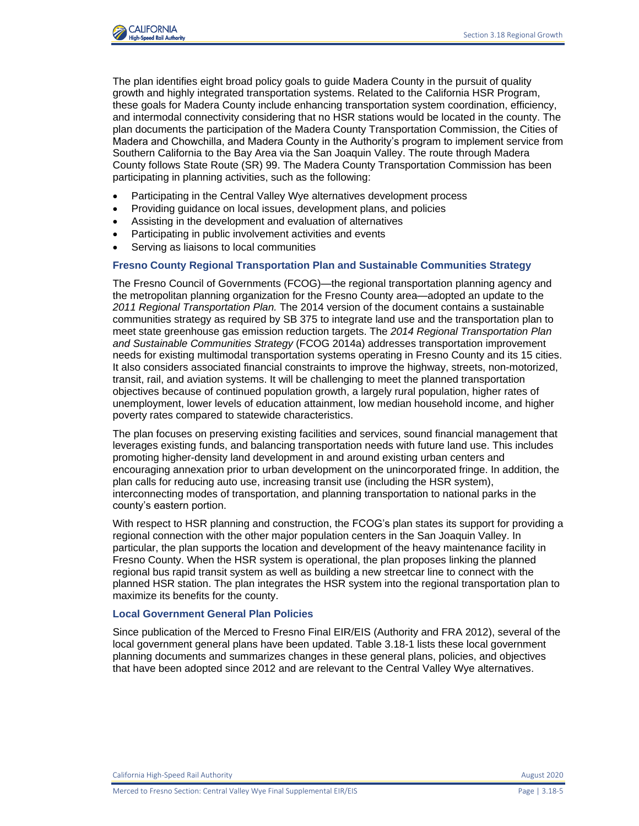

The plan identifies eight broad policy goals to guide Madera County in the pursuit of quality growth and highly integrated transportation systems. Related to the California HSR Program, these goals for Madera County include enhancing transportation system coordination, efficiency, and intermodal connectivity considering that no HSR stations would be located in the county. The plan documents the participation of the Madera County Transportation Commission, the Cities of Madera and Chowchilla, and Madera County in the Authority's program to implement service from Southern California to the Bay Area via the San Joaquin Valley. The route through Madera County follows State Route (SR) 99. The Madera County Transportation Commission has been participating in planning activities, such as the following:

- Participating in the Central Valley Wye alternatives development process
- Providing guidance on local issues, development plans, and policies
- Assisting in the development and evaluation of alternatives
- Participating in public involvement activities and events
- Serving as liaisons to local communities

#### **Fresno County Regional Transportation Plan and Sustainable Communities Strategy**

The Fresno Council of Governments (FCOG)—the regional transportation planning agency and the metropolitan planning organization for the Fresno County area—adopted an update to the *2011 Regional Transportation Plan.* The 2014 version of the document contains a sustainable communities strategy as required by SB 375 to integrate land use and the transportation plan to meet state greenhouse gas emission reduction targets. The *2014 Regional Transportation Plan and Sustainable Communities Strategy* (FCOG 2014a) addresses transportation improvement needs for existing multimodal transportation systems operating in Fresno County and its 15 cities. It also considers associated financial constraints to improve the highway, streets, non-motorized, transit, rail, and aviation systems. It will be challenging to meet the planned transportation objectives because of continued population growth, a largely rural population, higher rates of unemployment, lower levels of education attainment, low median household income, and higher poverty rates compared to statewide characteristics.

The plan focuses on preserving existing facilities and services, sound financial management that leverages existing funds, and balancing transportation needs with future land use. This includes promoting higher-density land development in and around existing urban centers and encouraging annexation prior to urban development on the unincorporated fringe. In addition, the plan calls for reducing auto use, increasing transit use (including the HSR system), interconnecting modes of transportation, and planning transportation to national parks in the county's eastern portion.

With respect to HSR planning and construction, the FCOG's plan states its support for providing a regional connection with the other major population centers in the San Joaquin Valley. In particular, the plan supports the location and development of the heavy maintenance facility in Fresno County. When the HSR system is operational, the plan proposes linking the planned regional bus rapid transit system as well as building a new streetcar line to connect with the planned HSR station. The plan integrates the HSR system into the regional transportation plan to maximize its benefits for the county.

#### **Local Government General Plan Policies**

Since publication of the Merced to Fresno Final EIR/EIS (Authority and FRA 2012), several of the local government general plans have been updated. Table 3.18-1 lists these local government planning documents and summarizes changes in these general plans, policies, and objectives that have been adopted since 2012 and are relevant to the Central Valley Wye alternatives.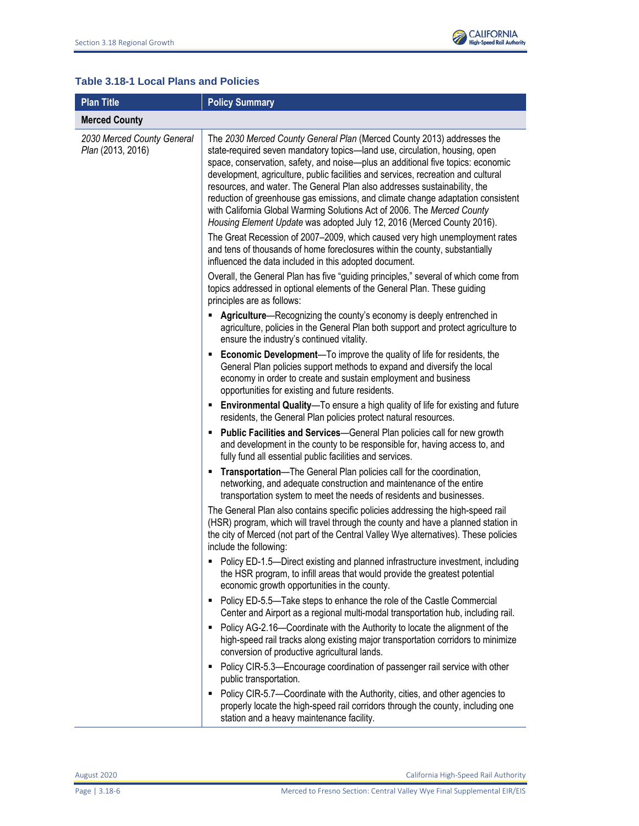

# **Table 3.18-1 Local Plans and Policies**

| <b>Plan Title</b>                               | <b>Policy Summary</b>                                                                                                                                                                                                                                                                                                                                                                                                                                                                                                                                                                                                                             |  |  |  |  |
|-------------------------------------------------|---------------------------------------------------------------------------------------------------------------------------------------------------------------------------------------------------------------------------------------------------------------------------------------------------------------------------------------------------------------------------------------------------------------------------------------------------------------------------------------------------------------------------------------------------------------------------------------------------------------------------------------------------|--|--|--|--|
| <b>Merced County</b>                            |                                                                                                                                                                                                                                                                                                                                                                                                                                                                                                                                                                                                                                                   |  |  |  |  |
| 2030 Merced County General<br>Plan (2013, 2016) | The 2030 Merced County General Plan (Merced County 2013) addresses the<br>state-required seven mandatory topics-land use, circulation, housing, open<br>space, conservation, safety, and noise-plus an additional five topics: economic<br>development, agriculture, public facilities and services, recreation and cultural<br>resources, and water. The General Plan also addresses sustainability, the<br>reduction of greenhouse gas emissions, and climate change adaptation consistent<br>with California Global Warming Solutions Act of 2006. The Merced County<br>Housing Element Update was adopted July 12, 2016 (Merced County 2016). |  |  |  |  |
|                                                 | The Great Recession of 2007-2009, which caused very high unemployment rates<br>and tens of thousands of home foreclosures within the county, substantially<br>influenced the data included in this adopted document.                                                                                                                                                                                                                                                                                                                                                                                                                              |  |  |  |  |
|                                                 | Overall, the General Plan has five "guiding principles," several of which come from<br>topics addressed in optional elements of the General Plan. These guiding<br>principles are as follows:                                                                                                                                                                                                                                                                                                                                                                                                                                                     |  |  |  |  |
|                                                 | Agriculture-Recognizing the county's economy is deeply entrenched in<br>٠<br>agriculture, policies in the General Plan both support and protect agriculture to<br>ensure the industry's continued vitality.                                                                                                                                                                                                                                                                                                                                                                                                                                       |  |  |  |  |
|                                                 | <b>Economic Development</b> —To improve the quality of life for residents, the<br>٠<br>General Plan policies support methods to expand and diversify the local<br>economy in order to create and sustain employment and business<br>opportunities for existing and future residents.                                                                                                                                                                                                                                                                                                                                                              |  |  |  |  |
|                                                 | <b>Environmental Quality</b> —To ensure a high quality of life for existing and future<br>residents, the General Plan policies protect natural resources.                                                                                                                                                                                                                                                                                                                                                                                                                                                                                         |  |  |  |  |
|                                                 | Public Facilities and Services-General Plan policies call for new growth<br>٠<br>and development in the county to be responsible for, having access to, and<br>fully fund all essential public facilities and services.                                                                                                                                                                                                                                                                                                                                                                                                                           |  |  |  |  |
|                                                 | Transportation-The General Plan policies call for the coordination,<br>٠<br>networking, and adequate construction and maintenance of the entire<br>transportation system to meet the needs of residents and businesses.                                                                                                                                                                                                                                                                                                                                                                                                                           |  |  |  |  |
|                                                 | The General Plan also contains specific policies addressing the high-speed rail<br>(HSR) program, which will travel through the county and have a planned station in<br>the city of Merced (not part of the Central Valley Wye alternatives). These policies<br>include the following:                                                                                                                                                                                                                                                                                                                                                            |  |  |  |  |
|                                                 | Policy ED-1.5-Direct existing and planned infrastructure investment, including<br>the HSR program, to infill areas that would provide the greatest potential<br>economic growth opportunities in the county.                                                                                                                                                                                                                                                                                                                                                                                                                                      |  |  |  |  |
|                                                 | • Policy ED-5.5-Take steps to enhance the role of the Castle Commercial<br>Center and Airport as a regional multi-modal transportation hub, including rail.                                                                                                                                                                                                                                                                                                                                                                                                                                                                                       |  |  |  |  |
|                                                 | • Policy AG-2.16-Coordinate with the Authority to locate the alignment of the<br>high-speed rail tracks along existing major transportation corridors to minimize<br>conversion of productive agricultural lands.                                                                                                                                                                                                                                                                                                                                                                                                                                 |  |  |  |  |
|                                                 | • Policy CIR-5.3-Encourage coordination of passenger rail service with other<br>public transportation.                                                                                                                                                                                                                                                                                                                                                                                                                                                                                                                                            |  |  |  |  |
|                                                 | Policy CIR-5.7-Coordinate with the Authority, cities, and other agencies to<br>٠<br>properly locate the high-speed rail corridors through the county, including one<br>station and a heavy maintenance facility.                                                                                                                                                                                                                                                                                                                                                                                                                                  |  |  |  |  |

August 2020 California High-Speed Rail Authority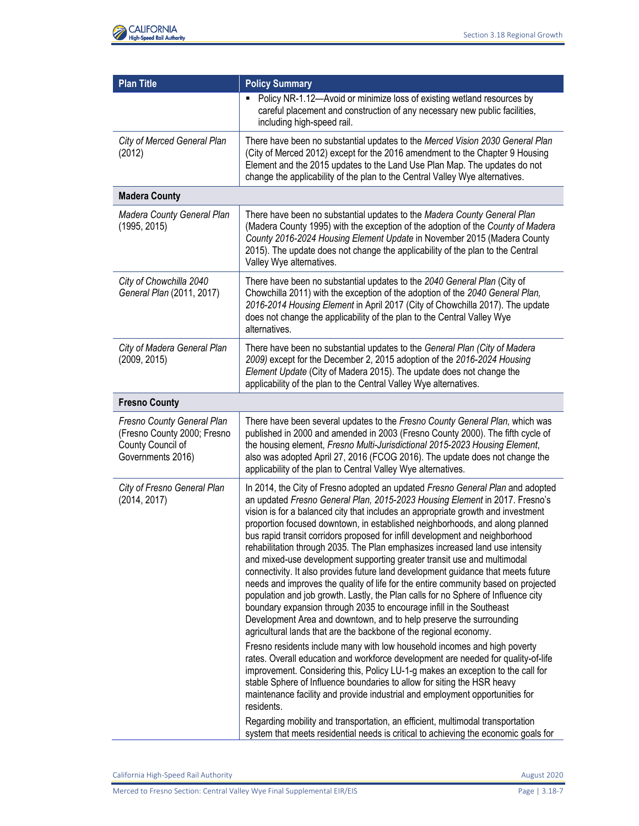

| <b>Plan Title</b>                                                                                   | <b>Policy Summary</b>                                                                                                                                                                                                                                                                                                                                                                                                                                                                                                                                                                                                                                                                                                                                                                                                                                                                                                                                                                                                                                                                                                                                                                                                                                                                                                                                                                                                                                                                                                                                                                                                                                                    |
|-----------------------------------------------------------------------------------------------------|--------------------------------------------------------------------------------------------------------------------------------------------------------------------------------------------------------------------------------------------------------------------------------------------------------------------------------------------------------------------------------------------------------------------------------------------------------------------------------------------------------------------------------------------------------------------------------------------------------------------------------------------------------------------------------------------------------------------------------------------------------------------------------------------------------------------------------------------------------------------------------------------------------------------------------------------------------------------------------------------------------------------------------------------------------------------------------------------------------------------------------------------------------------------------------------------------------------------------------------------------------------------------------------------------------------------------------------------------------------------------------------------------------------------------------------------------------------------------------------------------------------------------------------------------------------------------------------------------------------------------------------------------------------------------|
|                                                                                                     | Policy NR-1.12-Avoid or minimize loss of existing wetland resources by<br>careful placement and construction of any necessary new public facilities,<br>including high-speed rail.                                                                                                                                                                                                                                                                                                                                                                                                                                                                                                                                                                                                                                                                                                                                                                                                                                                                                                                                                                                                                                                                                                                                                                                                                                                                                                                                                                                                                                                                                       |
| City of Merced General Plan<br>(2012)                                                               | There have been no substantial updates to the Merced Vision 2030 General Plan<br>(City of Merced 2012) except for the 2016 amendment to the Chapter 9 Housing<br>Element and the 2015 updates to the Land Use Plan Map. The updates do not<br>change the applicability of the plan to the Central Valley Wye alternatives.                                                                                                                                                                                                                                                                                                                                                                                                                                                                                                                                                                                                                                                                                                                                                                                                                                                                                                                                                                                                                                                                                                                                                                                                                                                                                                                                               |
| <b>Madera County</b>                                                                                |                                                                                                                                                                                                                                                                                                                                                                                                                                                                                                                                                                                                                                                                                                                                                                                                                                                                                                                                                                                                                                                                                                                                                                                                                                                                                                                                                                                                                                                                                                                                                                                                                                                                          |
| Madera County General Plan<br>(1995, 2015)                                                          | There have been no substantial updates to the Madera County General Plan<br>(Madera County 1995) with the exception of the adoption of the County of Madera<br>County 2016-2024 Housing Element Update in November 2015 (Madera County<br>2015). The update does not change the applicability of the plan to the Central<br>Valley Wye alternatives.                                                                                                                                                                                                                                                                                                                                                                                                                                                                                                                                                                                                                                                                                                                                                                                                                                                                                                                                                                                                                                                                                                                                                                                                                                                                                                                     |
| City of Chowchilla 2040<br>General Plan (2011, 2017)                                                | There have been no substantial updates to the 2040 General Plan (City of<br>Chowchilla 2011) with the exception of the adoption of the 2040 General Plan,<br>2016-2014 Housing Element in April 2017 (City of Chowchilla 2017). The update<br>does not change the applicability of the plan to the Central Valley Wye<br>alternatives.                                                                                                                                                                                                                                                                                                                                                                                                                                                                                                                                                                                                                                                                                                                                                                                                                                                                                                                                                                                                                                                                                                                                                                                                                                                                                                                                   |
| City of Madera General Plan<br>(2009, 2015)                                                         | There have been no substantial updates to the General Plan (City of Madera<br>2009) except for the December 2, 2015 adoption of the 2016-2024 Housing<br>Element Update (City of Madera 2015). The update does not change the<br>applicability of the plan to the Central Valley Wye alternatives.                                                                                                                                                                                                                                                                                                                                                                                                                                                                                                                                                                                                                                                                                                                                                                                                                                                                                                                                                                                                                                                                                                                                                                                                                                                                                                                                                                       |
| <b>Fresno County</b>                                                                                |                                                                                                                                                                                                                                                                                                                                                                                                                                                                                                                                                                                                                                                                                                                                                                                                                                                                                                                                                                                                                                                                                                                                                                                                                                                                                                                                                                                                                                                                                                                                                                                                                                                                          |
| Fresno County General Plan<br>(Fresno County 2000; Fresno<br>County Council of<br>Governments 2016) | There have been several updates to the Fresno County General Plan, which was<br>published in 2000 and amended in 2003 (Fresno County 2000). The fifth cycle of<br>the housing element, Fresno Multi-Jurisdictional 2015-2023 Housing Element,<br>also was adopted April 27, 2016 (FCOG 2016). The update does not change the<br>applicability of the plan to Central Valley Wye alternatives.                                                                                                                                                                                                                                                                                                                                                                                                                                                                                                                                                                                                                                                                                                                                                                                                                                                                                                                                                                                                                                                                                                                                                                                                                                                                            |
| City of Fresno General Plan<br>(2014, 2017)                                                         | In 2014, the City of Fresno adopted an updated Fresno General Plan and adopted<br>an updated Fresno General Plan, 2015-2023 Housing Element in 2017. Fresno's<br>vision is for a balanced city that includes an appropriate growth and investment<br>proportion focused downtown, in established neighborhoods, and along planned<br>bus rapid transit corridors proposed for infill development and neighborhood<br>rehabilitation through 2035. The Plan emphasizes increased land use intensity<br>and mixed-use development supporting greater transit use and multimodal<br>connectivity. It also provides future land development guidance that meets future<br>needs and improves the quality of life for the entire community based on projected<br>population and job growth. Lastly, the Plan calls for no Sphere of Influence city<br>boundary expansion through 2035 to encourage infill in the Southeast<br>Development Area and downtown, and to help preserve the surrounding<br>agricultural lands that are the backbone of the regional economy.<br>Fresno residents include many with low household incomes and high poverty<br>rates. Overall education and workforce development are needed for quality-of-life<br>improvement. Considering this, Policy LU-1-g makes an exception to the call for<br>stable Sphere of Influence boundaries to allow for siting the HSR heavy<br>maintenance facility and provide industrial and employment opportunities for<br>residents.<br>Regarding mobility and transportation, an efficient, multimodal transportation<br>system that meets residential needs is critical to achieving the economic goals for |

California High-Speed Rail Authority **August 2020** 

Merced to Fresno Section: Central Valley Wye Final Supplemental EIR/EIS Page | 3.18-7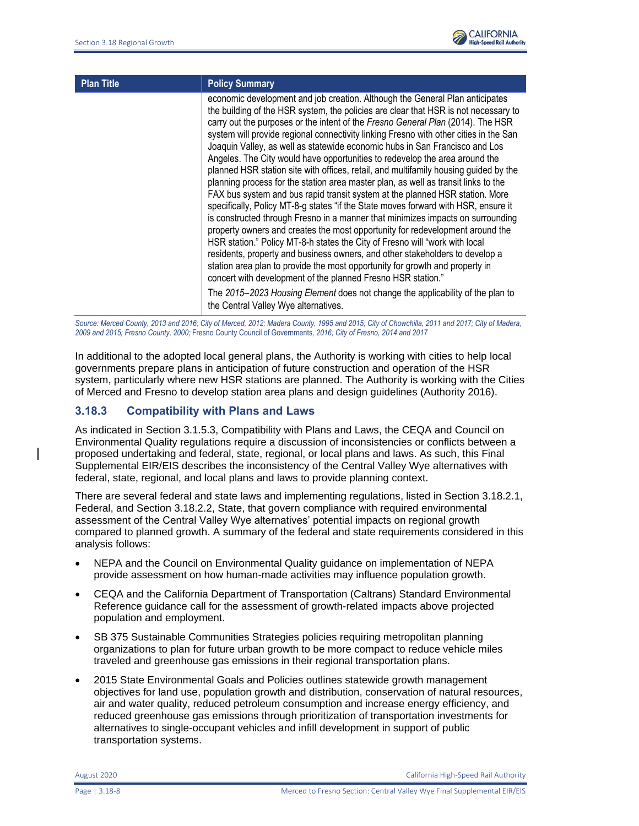

| <b>Plan Title</b> | <b>Policy Summary</b>                                                                                                                                                                                                                                                                                                                                                                                                                                                                                                                                                                                                                                                                                                                                                                                                                                                                                                                                                                                                                                                                                                                                                                                                                                                                                                                                |
|-------------------|------------------------------------------------------------------------------------------------------------------------------------------------------------------------------------------------------------------------------------------------------------------------------------------------------------------------------------------------------------------------------------------------------------------------------------------------------------------------------------------------------------------------------------------------------------------------------------------------------------------------------------------------------------------------------------------------------------------------------------------------------------------------------------------------------------------------------------------------------------------------------------------------------------------------------------------------------------------------------------------------------------------------------------------------------------------------------------------------------------------------------------------------------------------------------------------------------------------------------------------------------------------------------------------------------------------------------------------------------|
|                   | economic development and job creation. Although the General Plan anticipates<br>the building of the HSR system, the policies are clear that HSR is not necessary to<br>carry out the purposes or the intent of the Fresno General Plan (2014). The HSR<br>system will provide regional connectivity linking Fresno with other cities in the San<br>Joaquin Valley, as well as statewide economic hubs in San Francisco and Los<br>Angeles. The City would have opportunities to redevelop the area around the<br>planned HSR station site with offices, retail, and multifamily housing guided by the<br>planning process for the station area master plan, as well as transit links to the<br>FAX bus system and bus rapid transit system at the planned HSR station. More<br>specifically, Policy MT-8-g states "if the State moves forward with HSR, ensure it<br>is constructed through Fresno in a manner that minimizes impacts on surrounding<br>property owners and creates the most opportunity for redevelopment around the<br>HSR station." Policy MT-8-h states the City of Fresno will "work with local<br>residents, property and business owners, and other stakeholders to develop a<br>station area plan to provide the most opportunity for growth and property in<br>concert with development of the planned Fresno HSR station." |
|                   | The 2015–2023 Housing Element does not change the applicability of the plan to<br>the Central Valley Wye alternatives.                                                                                                                                                                                                                                                                                                                                                                                                                                                                                                                                                                                                                                                                                                                                                                                                                                                                                                                                                                                                                                                                                                                                                                                                                               |

Source: Merced County, 2013 and 2016; City of Merced, 2012; Madera County, 1995 and 2015; City of Chowchilla, 2011 and 2017; City of Madera, *2009 and 2015; Fresno County, 2000;* Fresno County Council of Governments*, 2016; City of Fresno, 2014 and 2017*

In additional to the adopted local general plans, the Authority is working with cities to help local governments prepare plans in anticipation of future construction and operation of the HSR system, particularly where new HSR stations are planned. The Authority is working with the Cities of Merced and Fresno to develop station area plans and design guidelines (Authority 2016).

## **3.18.3 Compatibility with Plans and Laws**

As indicated in Section 3.1.5.3, Compatibility with Plans and Laws, the CEQA and Council on Environmental Quality regulations require a discussion of inconsistencies or conflicts between a proposed undertaking and federal, state, regional, or local plans and laws. As such, this Final Supplemental EIR/EIS describes the inconsistency of the Central Valley Wye alternatives with federal, state, regional, and local plans and laws to provide planning context.

There are several federal and state laws and implementing regulations, listed in Section 3.18.2.1, Federal, and Section 3.18.2.2, State, that govern compliance with required environmental assessment of the Central Valley Wye alternatives' potential impacts on regional growth compared to planned growth. A summary of the federal and state requirements considered in this analysis follows:

- NEPA and the Council on Environmental Quality guidance on implementation of NEPA provide assessment on how human-made activities may influence population growth.
- CEQA and the California Department of Transportation (Caltrans) Standard Environmental Reference guidance call for the assessment of growth-related impacts above projected population and employment.
- SB 375 Sustainable Communities Strategies policies requiring metropolitan planning organizations to plan for future urban growth to be more compact to reduce vehicle miles traveled and greenhouse gas emissions in their regional transportation plans.
- 2015 State Environmental Goals and Policies outlines statewide growth management objectives for land use, population growth and distribution, conservation of natural resources, air and water quality, reduced petroleum consumption and increase energy efficiency, and reduced greenhouse gas emissions through prioritization of transportation investments for alternatives to single-occupant vehicles and infill development in support of public transportation systems.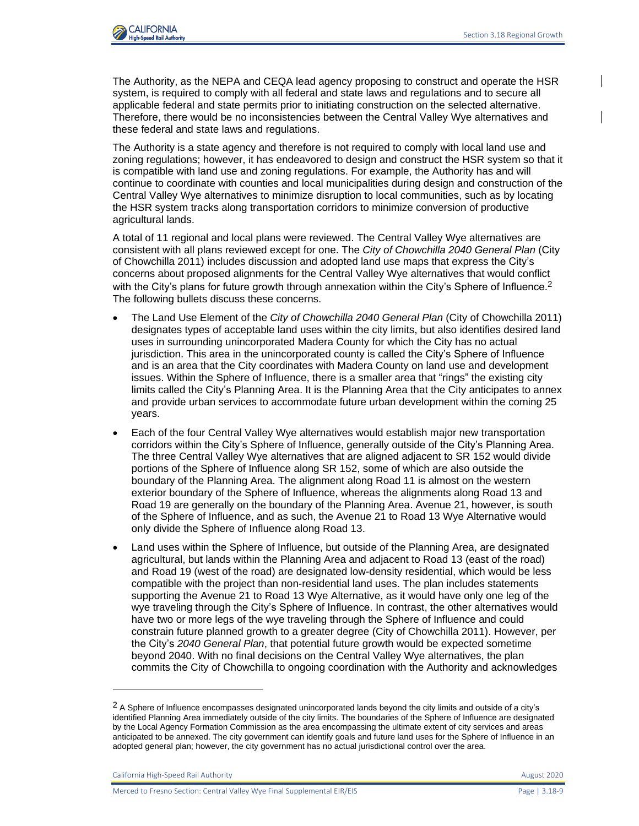

The Authority, as the NEPA and CEQA lead agency proposing to construct and operate the HSR system, is required to comply with all federal and state laws and regulations and to secure all applicable federal and state permits prior to initiating construction on the selected alternative. Therefore, there would be no inconsistencies between the Central Valley Wye alternatives and these federal and state laws and regulations.

The Authority is a state agency and therefore is not required to comply with local land use and zoning regulations; however, it has endeavored to design and construct the HSR system so that it is compatible with land use and zoning regulations. For example, the Authority has and will continue to coordinate with counties and local municipalities during design and construction of the Central Valley Wye alternatives to minimize disruption to local communities, such as by locating the HSR system tracks along transportation corridors to minimize conversion of productive agricultural lands.

A total of 11 regional and local plans were reviewed. The Central Valley Wye alternatives are consistent with all plans reviewed except for one. The *City of Chowchilla 2040 General Plan* (City of Chowchilla 2011) includes discussion and adopted land use maps that express the City's concerns about proposed alignments for the Central Valley Wye alternatives that would conflict with the City's plans for future growth through annexation within the City's Sphere of Influence.<sup>2</sup> The following bullets discuss these concerns.

- The Land Use Element of the *City of Chowchilla 2040 General Plan* (City of Chowchilla 2011) designates types of acceptable land uses within the city limits, but also identifies desired land uses in surrounding unincorporated Madera County for which the City has no actual jurisdiction. This area in the unincorporated county is called the City's Sphere of Influence and is an area that the City coordinates with Madera County on land use and development issues. Within the Sphere of Influence, there is a smaller area that "rings" the existing city limits called the City's Planning Area. It is the Planning Area that the City anticipates to annex and provide urban services to accommodate future urban development within the coming 25 years.
- Each of the four Central Valley Wye alternatives would establish major new transportation corridors within the City's Sphere of Influence, generally outside of the City's Planning Area. The three Central Valley Wye alternatives that are aligned adjacent to SR 152 would divide portions of the Sphere of Influence along SR 152, some of which are also outside the boundary of the Planning Area. The alignment along Road 11 is almost on the western exterior boundary of the Sphere of Influence, whereas the alignments along Road 13 and Road 19 are generally on the boundary of the Planning Area. Avenue 21, however, is south of the Sphere of Influence, and as such, the Avenue 21 to Road 13 Wye Alternative would only divide the Sphere of Influence along Road 13.
- Land uses within the Sphere of Influence, but outside of the Planning Area, are designated agricultural, but lands within the Planning Area and adjacent to Road 13 (east of the road) and Road 19 (west of the road) are designated low-density residential, which would be less compatible with the project than non-residential land uses. The plan includes statements supporting the Avenue 21 to Road 13 Wye Alternative, as it would have only one leg of the wye traveling through the City's Sphere of Influence. In contrast, the other alternatives would have two or more legs of the wye traveling through the Sphere of Influence and could constrain future planned growth to a greater degree (City of Chowchilla 2011). However, per the City's *2040 General Plan*, that potential future growth would be expected sometime beyond 2040. With no final decisions on the Central Valley Wye alternatives, the plan commits the City of Chowchilla to ongoing coordination with the Authority and acknowledges

 $2$  A Sphere of Influence encompasses designated unincorporated lands beyond the city limits and outside of a city's identified Planning Area immediately outside of the city limits. The boundaries of the Sphere of Influence are designated by the Local Agency Formation Commission as the area encompassing the ultimate extent of city services and areas anticipated to be annexed. The city government can identify goals and future land uses for the Sphere of Influence in an adopted general plan; however, the city government has no actual jurisdictional control over the area.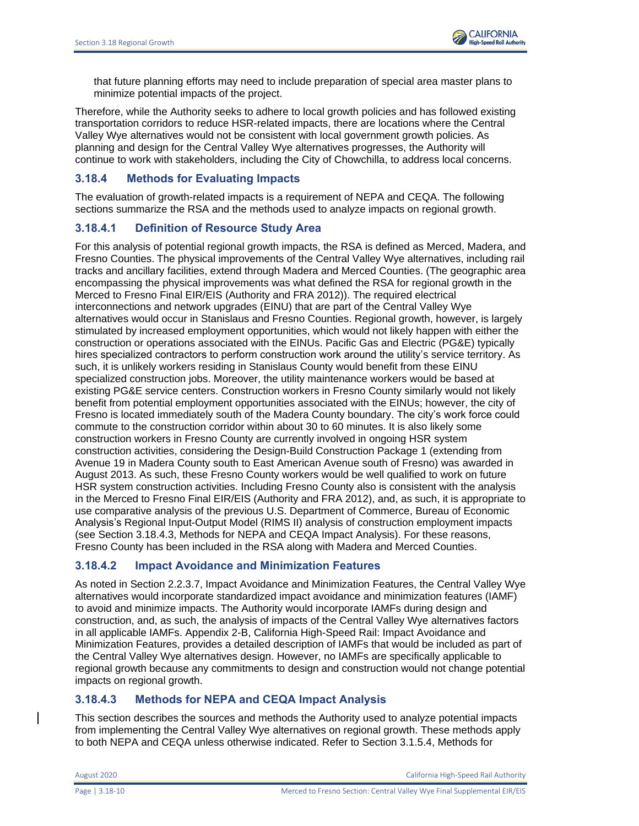that future planning efforts may need to include preparation of special area master plans to minimize potential impacts of the project.

Therefore, while the Authority seeks to adhere to local growth policies and has followed existing transportation corridors to reduce HSR-related impacts, there are locations where the Central Valley Wye alternatives would not be consistent with local government growth policies. As planning and design for the Central Valley Wye alternatives progresses, the Authority will continue to work with stakeholders, including the City of Chowchilla, to address local concerns.

# **3.18.4 Methods for Evaluating Impacts**

The evaluation of growth-related impacts is a requirement of NEPA and CEQA. The following sections summarize the RSA and the methods used to analyze impacts on regional growth.

# **3.18.4.1 Definition of Resource Study Area**

For this analysis of potential regional growth impacts, the RSA is defined as Merced, Madera, and Fresno Counties. The physical improvements of the Central Valley Wye alternatives, including rail tracks and ancillary facilities, extend through Madera and Merced Counties. (The geographic area encompassing the physical improvements was what defined the RSA for regional growth in the Merced to Fresno Final EIR/EIS (Authority and FRA 2012)). The required electrical interconnections and network upgrades (EINU) that are part of the Central Valley Wye alternatives would occur in Stanislaus and Fresno Counties. Regional growth, however, is largely stimulated by increased employment opportunities, which would not likely happen with either the construction or operations associated with the EINUs. Pacific Gas and Electric (PG&E) typically hires specialized contractors to perform construction work around the utility's service territory. As such, it is unlikely workers residing in Stanislaus County would benefit from these EINU specialized construction jobs. Moreover, the utility maintenance workers would be based at existing PG&E service centers. Construction workers in Fresno County similarly would not likely benefit from potential employment opportunities associated with the EINUs; however, the city of Fresno is located immediately south of the Madera County boundary. The city's work force could commute to the construction corridor within about 30 to 60 minutes. It is also likely some construction workers in Fresno County are currently involved in ongoing HSR system construction activities, considering the Design-Build Construction Package 1 (extending from Avenue 19 in Madera County south to East American Avenue south of Fresno) was awarded in August 2013. As such, these Fresno County workers would be well qualified to work on future HSR system construction activities. Including Fresno County also is consistent with the analysis in the Merced to Fresno Final EIR/EIS (Authority and FRA 2012), and, as such, it is appropriate to use comparative analysis of the previous U.S. Department of Commerce, Bureau of Economic Analysis's Regional Input-Output Model (RIMS II) analysis of construction employment impacts (see Section 3.18.4.3, Methods for NEPA and CEQA Impact Analysis). For these reasons, Fresno County has been included in the RSA along with Madera and Merced Counties.

# **3.18.4.2 Impact Avoidance and Minimization Features**

As noted in Section 2.2.3.7, Impact Avoidance and Minimization Features, the Central Valley Wye alternatives would incorporate standardized impact avoidance and minimization features (IAMF) to avoid and minimize impacts. The Authority would incorporate IAMFs during design and construction, and, as such, the analysis of impacts of the Central Valley Wye alternatives factors in all applicable IAMFs. Appendix 2-B, California High-Speed Rail: Impact Avoidance and Minimization Features, provides a detailed description of IAMFs that would be included as part of the Central Valley Wye alternatives design. However, no IAMFs are specifically applicable to regional growth because any commitments to design and construction would not change potential impacts on regional growth.

# **3.18.4.3 Methods for NEPA and CEQA Impact Analysis**

This section describes the sources and methods the Authority used to analyze potential impacts from implementing the Central Valley Wye alternatives on regional growth. These methods apply to both NEPA and CEQA unless otherwise indicated. Refer to Section 3.1.5.4, Methods for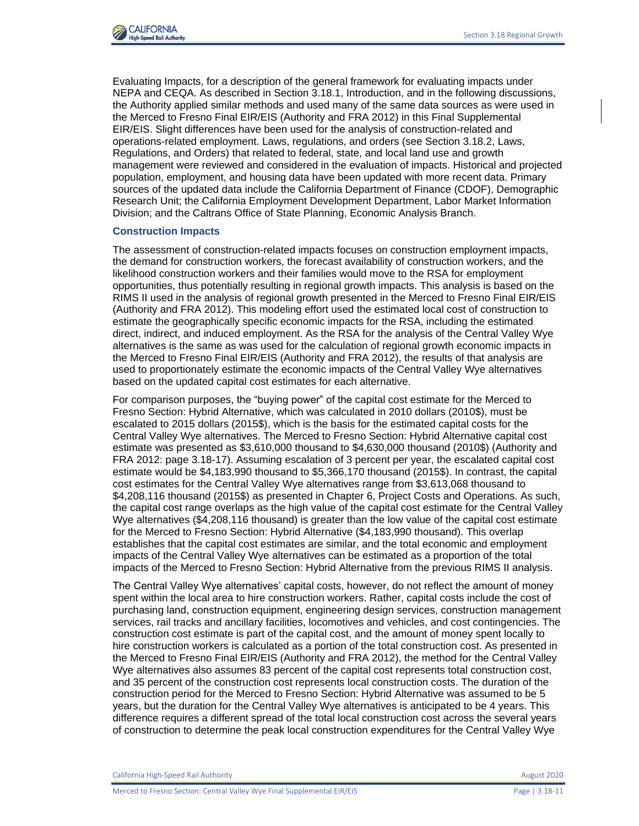

Evaluating Impacts, for a description of the general framework for evaluating impacts under NEPA and CEQA. As described in Section 3.18.1, Introduction, and in the following discussions, the Authority applied similar methods and used many of the same data sources as were used in the Merced to Fresno Final EIR/EIS (Authority and FRA 2012) in this Final Supplemental EIR/EIS. Slight differences have been used for the analysis of construction-related and operations-related employment. Laws, regulations, and orders (see Section 3.18.2, Laws, Regulations, and Orders) that related to federal, state, and local land use and growth management were reviewed and considered in the evaluation of impacts. Historical and projected population, employment, and housing data have been updated with more recent data. Primary sources of the updated data include the California Department of Finance (CDOF), Demographic Research Unit; the California Employment Development Department, Labor Market Information Division; and the Caltrans Office of State Planning, Economic Analysis Branch.

#### **Construction Impacts**

The assessment of construction-related impacts focuses on construction employment impacts, the demand for construction workers, the forecast availability of construction workers, and the likelihood construction workers and their families would move to the RSA for employment opportunities, thus potentially resulting in regional growth impacts. This analysis is based on the RIMS II used in the analysis of regional growth presented in the Merced to Fresno Final EIR/EIS (Authority and FRA 2012). This modeling effort used the estimated local cost of construction to estimate the geographically specific economic impacts for the RSA, including the estimated direct, indirect, and induced employment. As the RSA for the analysis of the Central Valley Wye alternatives is the same as was used for the calculation of regional growth economic impacts in the Merced to Fresno Final EIR/EIS (Authority and FRA 2012), the results of that analysis are used to proportionately estimate the economic impacts of the Central Valley Wye alternatives based on the updated capital cost estimates for each alternative.

For comparison purposes, the "buying power" of the capital cost estimate for the Merced to Fresno Section: Hybrid Alternative, which was calculated in 2010 dollars (2010\$), must be escalated to 2015 dollars (2015\$), which is the basis for the estimated capital costs for the Central Valley Wye alternatives. The Merced to Fresno Section: Hybrid Alternative capital cost estimate was presented as \$3,610,000 thousand to \$4,630,000 thousand (2010\$) (Authority and FRA 2012: page 3.18-17). Assuming escalation of 3 percent per year, the escalated capital cost estimate would be \$4,183,990 thousand to \$5,366,170 thousand (2015\$). In contrast, the capital cost estimates for the Central Valley Wye alternatives range from \$3,613,068 thousand to \$4,208,116 thousand (2015\$) as presented in Chapter 6, Project Costs and Operations. As such, the capital cost range overlaps as the high value of the capital cost estimate for the Central Valley Wye alternatives (\$4,208,116 thousand) is greater than the low value of the capital cost estimate for the Merced to Fresno Section: Hybrid Alternative (\$4,183,990 thousand). This overlap establishes that the capital cost estimates are similar, and the total economic and employment impacts of the Central Valley Wye alternatives can be estimated as a proportion of the total impacts of the Merced to Fresno Section: Hybrid Alternative from the previous RIMS II analysis.

The Central Valley Wye alternatives' capital costs, however, do not reflect the amount of money spent within the local area to hire construction workers. Rather, capital costs include the cost of purchasing land, construction equipment, engineering design services, construction management services, rail tracks and ancillary facilities, locomotives and vehicles, and cost contingencies. The construction cost estimate is part of the capital cost, and the amount of money spent locally to hire construction workers is calculated as a portion of the total construction cost. As presented in the Merced to Fresno Final EIR/EIS (Authority and FRA 2012), the method for the Central Valley Wye alternatives also assumes 83 percent of the capital cost represents total construction cost, and 35 percent of the construction cost represents local construction costs. The duration of the construction period for the Merced to Fresno Section: Hybrid Alternative was assumed to be 5 years, but the duration for the Central Valley Wye alternatives is anticipated to be 4 years. This difference requires a different spread of the total local construction cost across the several years of construction to determine the peak local construction expenditures for the Central Valley Wye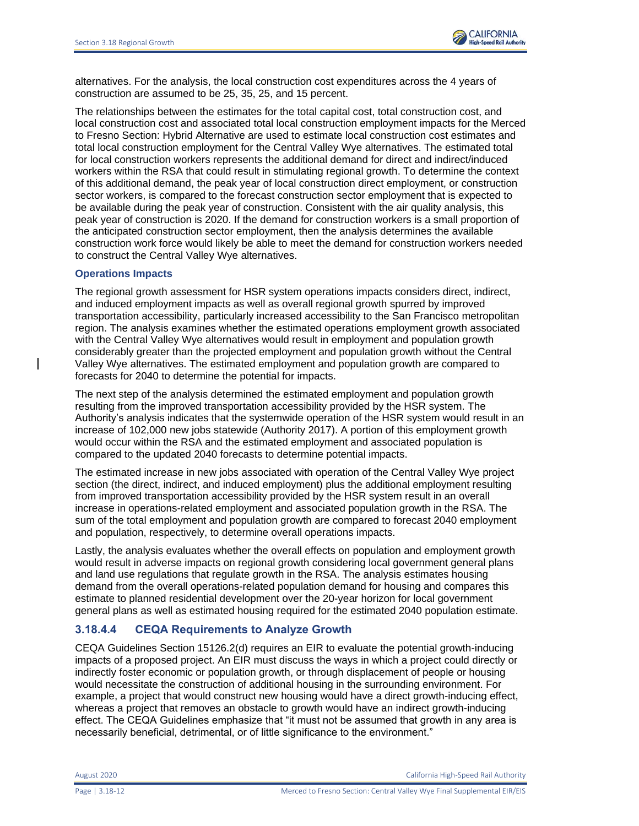

alternatives. For the analysis, the local construction cost expenditures across the 4 years of construction are assumed to be 25, 35, 25, and 15 percent.

The relationships between the estimates for the total capital cost, total construction cost, and local construction cost and associated total local construction employment impacts for the Merced to Fresno Section: Hybrid Alternative are used to estimate local construction cost estimates and total local construction employment for the Central Valley Wye alternatives. The estimated total for local construction workers represents the additional demand for direct and indirect/induced workers within the RSA that could result in stimulating regional growth. To determine the context of this additional demand, the peak year of local construction direct employment, or construction sector workers, is compared to the forecast construction sector employment that is expected to be available during the peak year of construction. Consistent with the air quality analysis, this peak year of construction is 2020. If the demand for construction workers is a small proportion of the anticipated construction sector employment, then the analysis determines the available construction work force would likely be able to meet the demand for construction workers needed to construct the Central Valley Wye alternatives.

#### **Operations Impacts**

The regional growth assessment for HSR system operations impacts considers direct, indirect, and induced employment impacts as well as overall regional growth spurred by improved transportation accessibility, particularly increased accessibility to the San Francisco metropolitan region. The analysis examines whether the estimated operations employment growth associated with the Central Valley Wye alternatives would result in employment and population growth considerably greater than the projected employment and population growth without the Central Valley Wye alternatives. The estimated employment and population growth are compared to forecasts for 2040 to determine the potential for impacts.

The next step of the analysis determined the estimated employment and population growth resulting from the improved transportation accessibility provided by the HSR system. The Authority's analysis indicates that the systemwide operation of the HSR system would result in an increase of 102,000 new jobs statewide (Authority 2017). A portion of this employment growth would occur within the RSA and the estimated employment and associated population is compared to the updated 2040 forecasts to determine potential impacts.

The estimated increase in new jobs associated with operation of the Central Valley Wye project section (the direct, indirect, and induced employment) plus the additional employment resulting from improved transportation accessibility provided by the HSR system result in an overall increase in operations-related employment and associated population growth in the RSA. The sum of the total employment and population growth are compared to forecast 2040 employment and population, respectively, to determine overall operations impacts.

Lastly, the analysis evaluates whether the overall effects on population and employment growth would result in adverse impacts on regional growth considering local government general plans and land use regulations that regulate growth in the RSA. The analysis estimates housing demand from the overall operations-related population demand for housing and compares this estimate to planned residential development over the 20-year horizon for local government general plans as well as estimated housing required for the estimated 2040 population estimate.

# **3.18.4.4 CEQA Requirements to Analyze Growth**

CEQA Guidelines Section 15126.2(d) requires an EIR to evaluate the potential growth-inducing impacts of a proposed project. An EIR must discuss the ways in which a project could directly or indirectly foster economic or population growth, or through displacement of people or housing would necessitate the construction of additional housing in the surrounding environment. For example, a project that would construct new housing would have a direct growth-inducing effect, whereas a project that removes an obstacle to growth would have an indirect growth-inducing effect. The CEQA Guidelines emphasize that "it must not be assumed that growth in any area is necessarily beneficial, detrimental, or of little significance to the environment."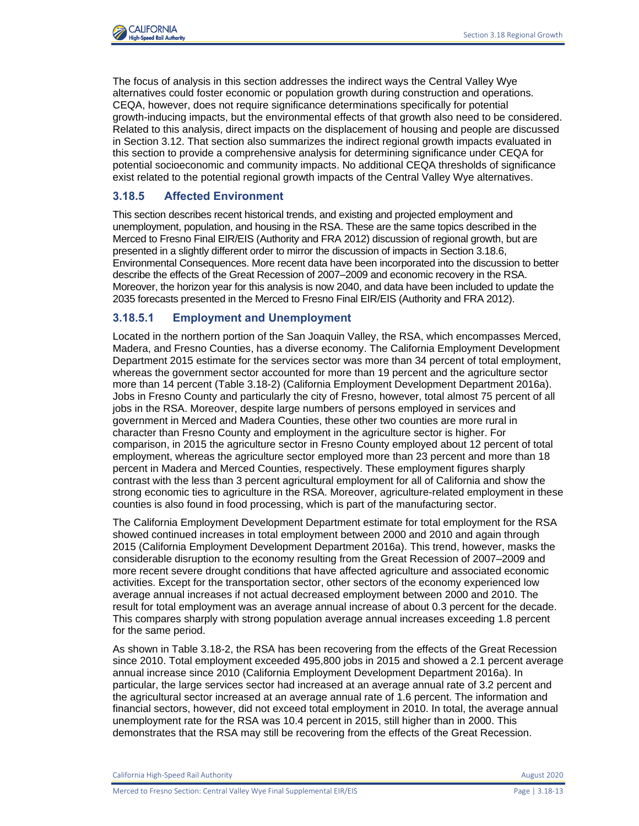

The focus of analysis in this section addresses the indirect ways the Central Valley Wye alternatives could foster economic or population growth during construction and operations. CEQA, however, does not require significance determinations specifically for potential growth-inducing impacts, but the environmental effects of that growth also need to be considered. Related to this analysis, direct impacts on the displacement of housing and people are discussed in Section 3.12. That section also summarizes the indirect regional growth impacts evaluated in this section to provide a comprehensive analysis for determining significance under CEQA for potential socioeconomic and community impacts. No additional CEQA thresholds of significance exist related to the potential regional growth impacts of the Central Valley Wye alternatives.

# **3.18.5 Affected Environment**

This section describes recent historical trends, and existing and projected employment and unemployment, population, and housing in the RSA. These are the same topics described in the Merced to Fresno Final EIR/EIS (Authority and FRA 2012) discussion of regional growth, but are presented in a slightly different order to mirror the discussion of impacts in Section 3.18.6, Environmental Consequences. More recent data have been incorporated into the discussion to better describe the effects of the Great Recession of 2007–2009 and economic recovery in the RSA. Moreover, the horizon year for this analysis is now 2040, and data have been included to update the 2035 forecasts presented in the Merced to Fresno Final EIR/EIS (Authority and FRA 2012).

## **3.18.5.1 Employment and Unemployment**

Located in the northern portion of the San Joaquin Valley, the RSA, which encompasses Merced, Madera, and Fresno Counties, has a diverse economy. The California Employment Development Department 2015 estimate for the services sector was more than 34 percent of total employment, whereas the government sector accounted for more than 19 percent and the agriculture sector more than 14 percent (Table 3.18-2) (California Employment Development Department 2016a). Jobs in Fresno County and particularly the city of Fresno, however, total almost 75 percent of all jobs in the RSA. Moreover, despite large numbers of persons employed in services and government in Merced and Madera Counties, these other two counties are more rural in character than Fresno County and employment in the agriculture sector is higher. For comparison, in 2015 the agriculture sector in Fresno County employed about 12 percent of total employment, whereas the agriculture sector employed more than 23 percent and more than 18 percent in Madera and Merced Counties, respectively. These employment figures sharply contrast with the less than 3 percent agricultural employment for all of California and show the strong economic ties to agriculture in the RSA. Moreover, agriculture-related employment in these counties is also found in food processing, which is part of the manufacturing sector.

The California Employment Development Department estimate for total employment for the RSA showed continued increases in total employment between 2000 and 2010 and again through 2015 (California Employment Development Department 2016a). This trend, however, masks the considerable disruption to the economy resulting from the Great Recession of 2007–2009 and more recent severe drought conditions that have affected agriculture and associated economic activities. Except for the transportation sector, other sectors of the economy experienced low average annual increases if not actual decreased employment between 2000 and 2010. The result for total employment was an average annual increase of about 0.3 percent for the decade. This compares sharply with strong population average annual increases exceeding 1.8 percent for the same period.

As shown in Table 3.18-2, the RSA has been recovering from the effects of the Great Recession since 2010. Total employment exceeded 495,800 jobs in 2015 and showed a 2.1 percent average annual increase since 2010 (California Employment Development Department 2016a). In particular, the large services sector had increased at an average annual rate of 3.2 percent and the agricultural sector increased at an average annual rate of 1.6 percent. The information and financial sectors, however, did not exceed total employment in 2010. In total, the average annual unemployment rate for the RSA was 10.4 percent in 2015, still higher than in 2000. This demonstrates that the RSA may still be recovering from the effects of the Great Recession.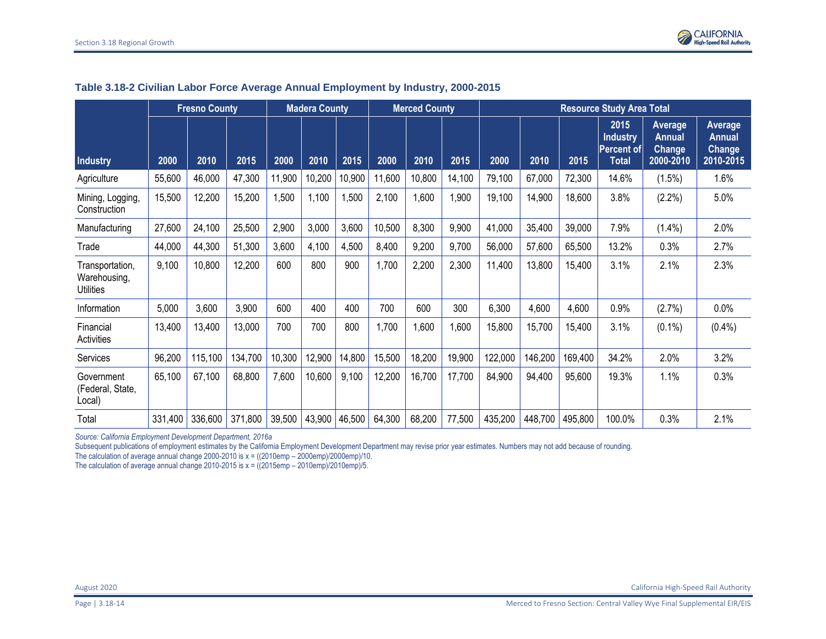

|                                                     |         | <b>Fresno County</b> |         | <b>Madera County</b> |        | <b>Merced County</b> |        | <b>Resource Study Area Total</b> |        |         |         |         |                                                       |                                                        |                                                        |
|-----------------------------------------------------|---------|----------------------|---------|----------------------|--------|----------------------|--------|----------------------------------|--------|---------|---------|---------|-------------------------------------------------------|--------------------------------------------------------|--------------------------------------------------------|
| <b>Industry</b>                                     | 2000    | 2010                 | 2015    | 2000                 | 2010   | 2015                 | 2000   | 2010                             | 2015   | 2000    | 2010    | 2015    | 2015<br><b>Industry</b><br>Percent of<br><b>Total</b> | Average<br><b>Annual</b><br><b>Change</b><br>2000-2010 | Average<br><b>Annual</b><br><b>Change</b><br>2010-2015 |
| Agriculture                                         | 55,600  | 46,000               | 47,300  | 11,900               | 10,200 | 10,900               | 11,600 | 10,800                           | 14,100 | 79,100  | 67,000  | 72,300  | 14.6%                                                 | (1.5%)                                                 | 1.6%                                                   |
| Mining, Logging,<br>Construction                    | 15,500  | 12,200               | 15,200  | 1,500                | 1,100  | 1,500                | 2,100  | 1,600                            | 1,900  | 19,100  | 14,900  | 18,600  | 3.8%                                                  | $(2.2\%)$                                              | 5.0%                                                   |
| Manufacturing                                       | 27,600  | 24,100               | 25,500  | 2,900                | 3,000  | 3,600                | 10,500 | 8,300                            | 9,900  | 41,000  | 35,400  | 39,000  | 7.9%                                                  | $(1.4\%)$                                              | 2.0%                                                   |
| Trade                                               | 44,000  | 44,300               | 51,300  | 3,600                | 4,100  | 4,500                | 8,400  | 9,200                            | 9,700  | 56,000  | 57,600  | 65,500  | 13.2%                                                 | 0.3%                                                   | 2.7%                                                   |
| Transportation,<br>Warehousing,<br><b>Utilities</b> | 9,100   | 10,800               | 12,200  | 600                  | 800    | 900                  | ,700   | 2,200                            | 2,300  | 11,400  | 13,800  | 15,400  | 3.1%                                                  | 2.1%                                                   | 2.3%                                                   |
| Information                                         | 5,000   | 3,600                | 3,900   | 600                  | 400    | 400                  | 700    | 600                              | 300    | 6,300   | 4,600   | 4,600   | 0.9%                                                  | (2.7%)                                                 | $0.0\%$                                                |
| Financial<br>Activities                             | 13,400  | 13,400               | 13,000  | 700                  | 700    | 800                  | ,700   | 1,600                            | 1,600  | 15,800  | 15,700  | 15,400  | 3.1%                                                  | $(0.1\%)$                                              | $(0.4\%)$                                              |
| Services                                            | 96,200  | 115,100              | 134,700 | 10,300               | 12,900 | 14,800               | 15,500 | 18,200                           | 19,900 | 122,000 | 146,200 | 169,400 | 34.2%                                                 | 2.0%                                                   | 3.2%                                                   |
| Government<br>(Federal, State,<br>Local)            | 65,100  | 67,100               | 68,800  | 7,600                | 10,600 | 9,100                | 12,200 | 16,700                           | 17,700 | 84,900  | 94,400  | 95,600  | 19.3%                                                 | 1.1%                                                   | 0.3%                                                   |
| Total                                               | 331,400 | 336,600              | 371,800 | 39,500               |        | 43,900 46,500        | 64,300 | 68,200                           | 77,500 | 435,200 | 448,700 | 495,800 | 100.0%                                                | 0.3%                                                   | 2.1%                                                   |

## **Table 3.18-2 Civilian Labor Force Average Annual Employment by Industry, 2000-2015**

*Source: California Employment Development Department, 2016a*

Subsequent publications of employment estimates by the California Employment Development Department may revise prior year estimates. Numbers may not add because of rounding.

The calculation of average annual change 2000-2010 is  $x = ((2010 \text{emp} - 2000 \text{emp})/2000 \text{emp})/10$ .

The calculation of average annual change 2010-2015 is  $x = ((2015emp - 2010emp)/2010emp)/5$ .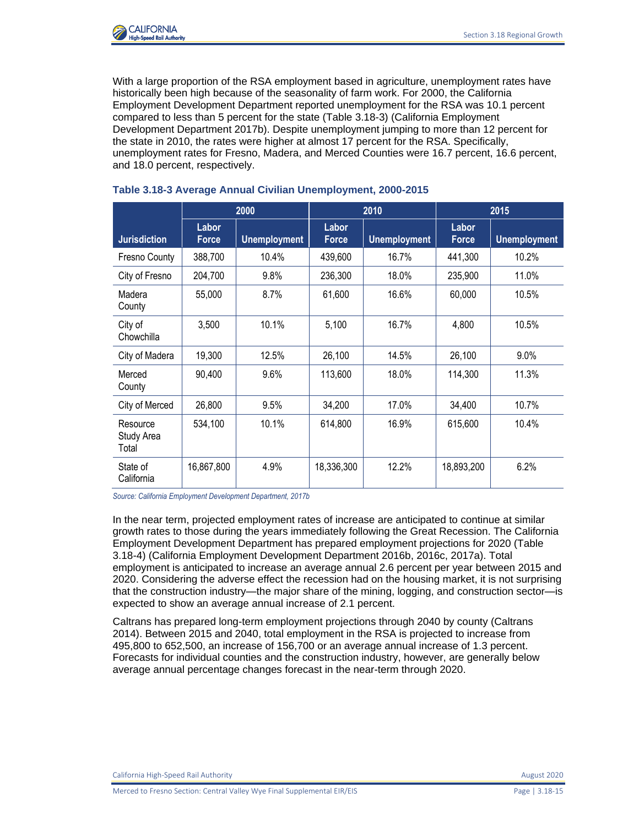

With a large proportion of the RSA employment based in agriculture, unemployment rates have historically been high because of the seasonality of farm work. For 2000, the California Employment Development Department reported unemployment for the RSA was 10.1 percent compared to less than 5 percent for the state (Table 3.18-3) (California Employment Development Department 2017b). Despite unemployment jumping to more than 12 percent for the state in 2010, the rates were higher at almost 17 percent for the RSA. Specifically, unemployment rates for Fresno, Madera, and Merced Counties were 16.7 percent, 16.6 percent, and 18.0 percent, respectively.

|                                 | 2000                  |                     |                       | 2010                | 2015                  |                     |  |
|---------------------------------|-----------------------|---------------------|-----------------------|---------------------|-----------------------|---------------------|--|
| <b>Jurisdiction</b>             | Labor<br><b>Force</b> | <b>Unemployment</b> | Labor<br><b>Force</b> | <b>Unemployment</b> | Labor<br><b>Force</b> | <b>Unemployment</b> |  |
| Fresno County                   | 388,700               | 10.4%               | 439,600               | 16.7%               | 441,300               | 10.2%               |  |
| City of Fresno                  | 204,700               | 9.8%                | 236,300               | 18.0%               | 235,900               | 11.0%               |  |
| Madera<br>County                | 55,000                | 8.7%                | 61,600                | 16.6%               | 60,000                | 10.5%               |  |
| City of<br>Chowchilla           | 3,500                 | 10.1%               | 5,100                 | 16.7%               | 4,800                 | 10.5%               |  |
| City of Madera                  | 19,300                | 12.5%               | 26,100                | 14.5%               | 26,100                | 9.0%                |  |
| Merced<br>County                | 90,400                | 9.6%                | 113,600               | 18.0%               | 114,300               | 11.3%               |  |
| City of Merced                  | 26,800                | 9.5%                | 34,200                | 17.0%               | 34,400                | 10.7%               |  |
| Resource<br>Study Area<br>Total | 534,100               | 10.1%               | 614,800               | 16.9%               | 615,600               | 10.4%               |  |
| State of<br>California          | 16,867,800            | 4.9%                | 18,336,300            | 12.2%               | 18,893,200            | 6.2%                |  |

## **Table 3.18-3 Average Annual Civilian Unemployment, 2000-2015**

*Source: California Employment Development Department, 2017b*

In the near term, projected employment rates of increase are anticipated to continue at similar growth rates to those during the years immediately following the Great Recession. The California Employment Development Department has prepared employment projections for 2020 (Table 3.18-4) (California Employment Development Department 2016b, 2016c, 2017a). Total employment is anticipated to increase an average annual 2.6 percent per year between 2015 and 2020. Considering the adverse effect the recession had on the housing market, it is not surprising that the construction industry—the major share of the mining, logging, and construction sector—is expected to show an average annual increase of 2.1 percent.

Caltrans has prepared long-term employment projections through 2040 by county (Caltrans 2014). Between 2015 and 2040, total employment in the RSA is projected to increase from 495,800 to 652,500, an increase of 156,700 or an average annual increase of 1.3 percent. Forecasts for individual counties and the construction industry, however, are generally below average annual percentage changes forecast in the near-term through 2020.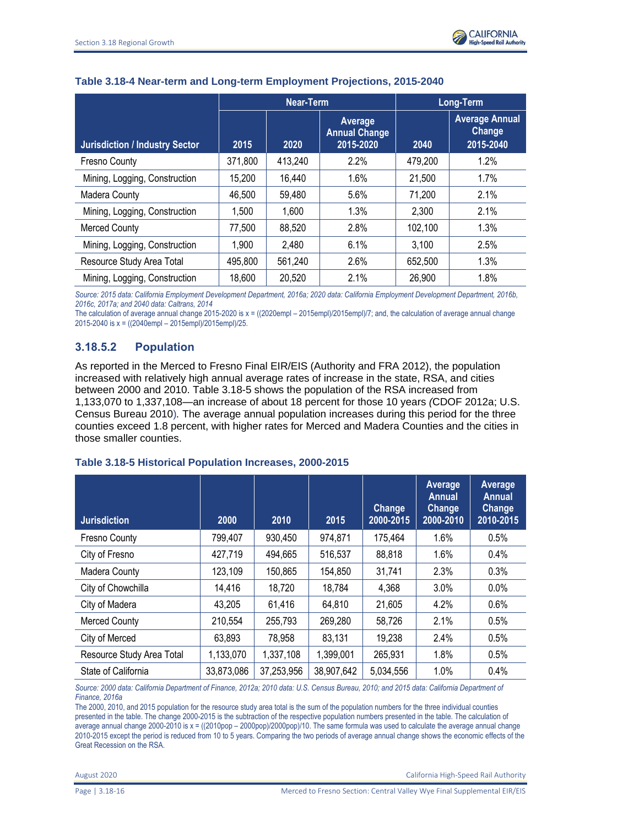|                                       | Near-Term |         |                                              | Long-Term |                                              |  |
|---------------------------------------|-----------|---------|----------------------------------------------|-----------|----------------------------------------------|--|
| <b>Jurisdiction / Industry Sector</b> | 2015      | 2020    | Average<br><b>Annual Change</b><br>2015-2020 | 2040      | <b>Average Annual</b><br>Change<br>2015-2040 |  |
| <b>Fresno County</b>                  | 371,800   | 413,240 | 2.2%                                         | 479,200   | 1.2%                                         |  |
| Mining, Logging, Construction         | 15,200    | 16,440  | 1.6%                                         | 21,500    | 1.7%                                         |  |
| <b>Madera County</b>                  | 46,500    | 59,480  | 5.6%                                         | 71,200    | 2.1%                                         |  |
| Mining, Logging, Construction         | 1,500     | 1,600   | 1.3%                                         | 2,300     | 2.1%                                         |  |
| <b>Merced County</b>                  | 77,500    | 88,520  | 2.8%                                         | 102,100   | 1.3%                                         |  |
| Mining, Logging, Construction         | 1,900     | 2,480   | 6.1%                                         | 3,100     | 2.5%                                         |  |
| Resource Study Area Total             | 495,800   | 561,240 | 2.6%                                         | 652,500   | 1.3%                                         |  |
| Mining, Logging, Construction         | 18,600    | 20,520  | 2.1%                                         | 26,900    | 1.8%                                         |  |

## **Table 3.18-4 Near-term and Long-term Employment Projections, 2015-2040**

*Source: 2015 data: California Employment Development Department, 2016a; 2020 data: California Employment Development Department, 2016b, 2016c, 2017a; and 2040 data: Caltrans, 2014*

The calculation of average annual change 2015-2020 is x = ((2020empl – 2015empl)/2015empl)/7; and, the calculation of average annual change 2015-2040 is x = ((2040empl – 2015empl)/2015empl)/25.

# **3.18.5.2 Population**

As reported in the Merced to Fresno Final EIR/EIS (Authority and FRA 2012), the population increased with relatively high annual average rates of increase in the state, RSA, and cities between 2000 and 2010. Table 3.18-5 shows the population of the RSA increased from 1,133,070 to 1,337,108—an increase of about 18 percent for those 10 years *(*CDOF 2012a; U.S. Census Bureau 2010)*.* The average annual population increases during this period for the three counties exceed 1.8 percent, with higher rates for Merced and Madera Counties and the cities in those smaller counties.

# **Table 3.18-5 Historical Population Increases, 2000-2015**

| <b>Jurisdiction</b>       | 2000       | 2010       | 2015       | <b>Change</b><br>2000-2015 | Average<br><b>Annual</b><br><b>Change</b><br>2000-2010 | <b>Average</b><br><b>Annual</b><br><b>Change</b><br>2010-2015 |
|---------------------------|------------|------------|------------|----------------------------|--------------------------------------------------------|---------------------------------------------------------------|
| <b>Fresno County</b>      | 799,407    | 930,450    | 974,871    | 175,464                    | 1.6%                                                   | 0.5%                                                          |
| City of Fresno            | 427,719    | 494,665    | 516,537    | 88,818                     | 1.6%                                                   | $0.4\%$                                                       |
| <b>Madera County</b>      | 123,109    | 150,865    | 154,850    | 31,741                     | 2.3%                                                   | 0.3%                                                          |
| City of Chowchilla        | 14,416     | 18,720     | 18,784     | 4,368                      | 3.0%                                                   | 0.0%                                                          |
| City of Madera            | 43,205     | 61,416     | 64,810     | 21,605                     | 4.2%                                                   | 0.6%                                                          |
| <b>Merced County</b>      | 210,554    | 255,793    | 269,280    | 58,726                     | 2.1%                                                   | 0.5%                                                          |
| City of Merced            | 63,893     | 78,958     | 83,131     | 19,238                     | 2.4%                                                   | 0.5%                                                          |
| Resource Study Area Total | 1,133,070  | 1,337,108  | 1,399,001  | 265,931                    | 1.8%                                                   | 0.5%                                                          |
| State of California       | 33,873,086 | 37,253,956 | 38,907,642 | 5,034,556                  | 1.0%                                                   | 0.4%                                                          |

*Source: 2000 data: California Department of Finance, 2012a; 2010 data: U.S. Census Bureau, 2010; and 2015 data: California Department of Finance, 2016a*

The 2000, 2010, and 2015 population for the resource study area total is the sum of the population numbers for the three individual counties presented in the table. The change 2000-2015 is the subtraction of the respective population numbers presented in the table. The calculation of average annual change 2000-2010 is x = ((2010pop – 2000pop)/2000pop)/10. The same formula was used to calculate the average annual change 2010-2015 except the period is reduced from 10 to 5 years. Comparing the two periods of average annual change shows the economic effects of the Great Recession on the RSA.

August 2020 California High-Speed Rail Authority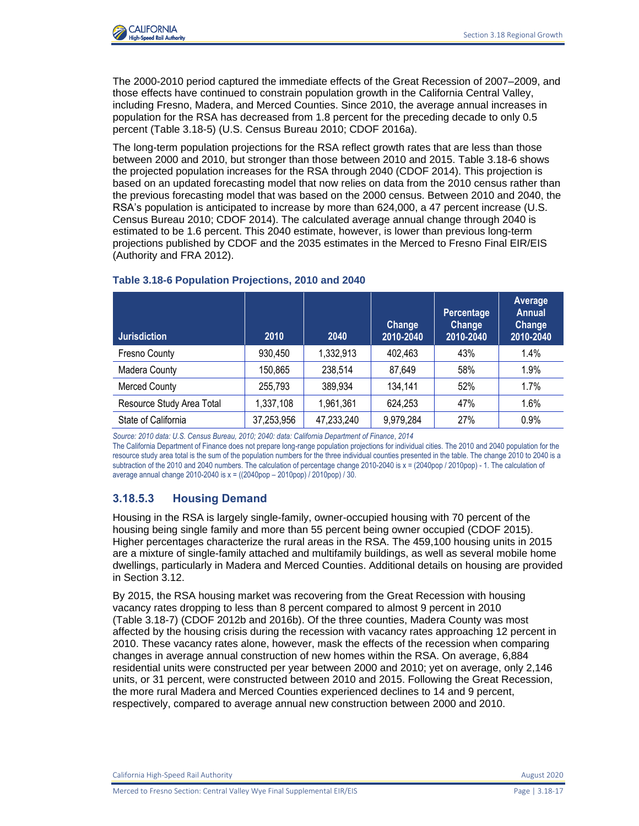

The 2000-2010 period captured the immediate effects of the Great Recession of 2007–2009, and those effects have continued to constrain population growth in the California Central Valley, including Fresno, Madera, and Merced Counties. Since 2010, the average annual increases in population for the RSA has decreased from 1.8 percent for the preceding decade to only 0.5 percent (Table 3.18-5) (U.S. Census Bureau 2010; CDOF 2016a).

The long-term population projections for the RSA reflect growth rates that are less than those between 2000 and 2010, but stronger than those between 2010 and 2015. Table 3.18-6 shows the projected population increases for the RSA through 2040 (CDOF 2014). This projection is based on an updated forecasting model that now relies on data from the 2010 census rather than the previous forecasting model that was based on the 2000 census. Between 2010 and 2040, the RSA's population is anticipated to increase by more than 624,000, a 47 percent increase (U.S. Census Bureau 2010; CDOF 2014). The calculated average annual change through 2040 is estimated to be 1.6 percent. This 2040 estimate, however, is lower than previous long-term projections published by CDOF and the 2035 estimates in the Merced to Fresno Final EIR/EIS (Authority and FRA 2012).

| <b>Jurisdiction</b>       | 2010       | 2040       | <b>Change</b><br>2010-2040 | Percentage<br><b>Change</b><br>2010-2040 | Average<br><b>Annual</b><br><b>Change</b><br>2010-2040 |
|---------------------------|------------|------------|----------------------------|------------------------------------------|--------------------------------------------------------|
| Fresno County             | 930,450    | 1,332,913  | 402,463                    | 43%                                      | 1.4%                                                   |
| Madera County             | 150,865    | 238,514    | 87,649                     | 58%                                      | 1.9%                                                   |
| Merced County             | 255,793    | 389,934    | 134,141                    | 52%                                      | 1.7%                                                   |
| Resource Study Area Total | 1,337,108  | 1,961,361  | 624,253                    | 47%                                      | 1.6%                                                   |
| State of California       | 37,253,956 | 47,233,240 | 9,979,284                  | 27%                                      | 0.9%                                                   |

### **Table 3.18-6 Population Projections, 2010 and 2040**

*Source: 2010 data: U.S. Census Bureau, 2010; 2040: data: California Department of Finance*, *2014*

The California Department of Finance does not prepare long-range population projections for individual cities. The 2010 and 2040 population for the resource study area total is the sum of the population numbers for the three individual counties presented in the table. The change 2010 to 2040 is a subtraction of the 2010 and 2040 numbers. The calculation of percentage change 2010-2040 is  $x = (2040pop / 2010pop)$  - 1. The calculation of average annual change 2010-2040 is  $x = ((2040pop - 2010pop) / 2010pop) / 30$ .

# **3.18.5.3 Housing Demand**

Housing in the RSA is largely single-family, owner-occupied housing with 70 percent of the housing being single family and more than 55 percent being owner occupied (CDOF 2015). Higher percentages characterize the rural areas in the RSA. The 459,100 housing units in 2015 are a mixture of single-family attached and multifamily buildings, as well as several mobile home dwellings, particularly in Madera and Merced Counties. Additional details on housing are provided in Section 3.12.

By 2015, the RSA housing market was recovering from the Great Recession with housing vacancy rates dropping to less than 8 percent compared to almost 9 percent in 2010 (Table 3.18-7) (CDOF 2012b and 2016b). Of the three counties, Madera County was most affected by the housing crisis during the recession with vacancy rates approaching 12 percent in 2010. These vacancy rates alone, however, mask the effects of the recession when comparing changes in average annual construction of new homes within the RSA. On average, 6,884 residential units were constructed per year between 2000 and 2010; yet on average, only 2,146 units, or 31 percent, were constructed between 2010 and 2015. Following the Great Recession, the more rural Madera and Merced Counties experienced declines to 14 and 9 percent, respectively, compared to average annual new construction between 2000 and 2010.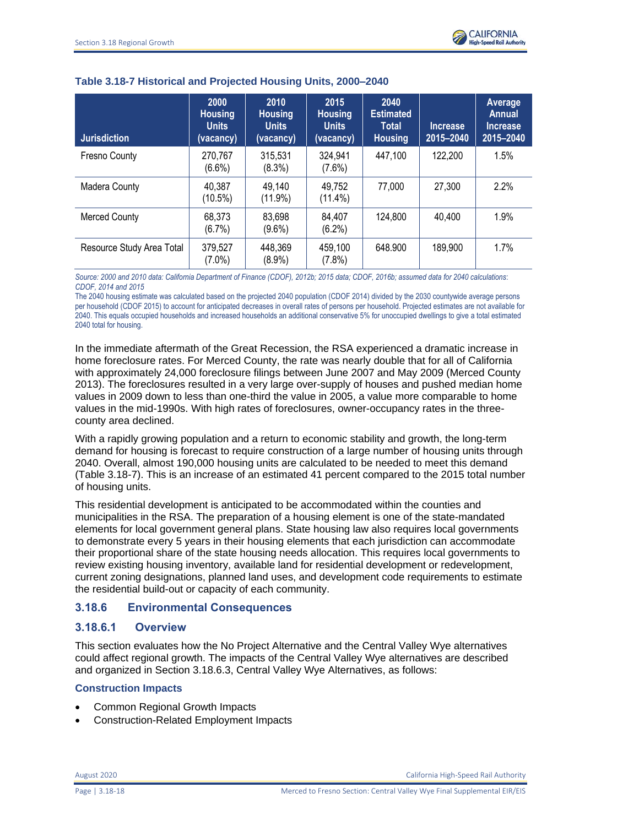

| <b>Jurisdiction</b>       | 2000<br><b>Housing</b><br><b>Units</b><br>(vacancy) | 2010<br><b>Housing</b><br><b>Units</b><br>(vacancy) | 2015<br><b>Housing</b><br><b>Units</b><br>(vacancy) | 2040<br><b>Estimated</b><br><b>Total</b><br><b>Housing</b> | <b>Increase</b><br>2015-2040 | <b>Average</b><br>Annual<br><b>Increase</b><br>2015-2040 |
|---------------------------|-----------------------------------------------------|-----------------------------------------------------|-----------------------------------------------------|------------------------------------------------------------|------------------------------|----------------------------------------------------------|
| Fresno County             | 270,767<br>$(6.6\%)$                                | 315,531<br>(8.3%)                                   | 324,941<br>$(7.6\%)$                                | 447,100                                                    | 122,200                      | 1.5%                                                     |
| Madera County             | 40,387<br>$(10.5\%)$                                | 49,140<br>$(11.9\%)$                                | 49,752<br>$(11.4\%)$                                | 77,000                                                     | 27,300                       | 2.2%                                                     |
| <b>Merced County</b>      | 68,373<br>$(6.7\%)$                                 | 83,698<br>$(9.6\%)$                                 | 84,407<br>$(6.2\%)$                                 | 124,800                                                    | 40.400                       | 1.9%                                                     |
| Resource Study Area Total | 379,527<br>(7.0%)                                   | 448,369<br>$(8.9\%)$                                | 459,100<br>$(7.8\%)$                                | 648.900                                                    | 189,900                      | 1.7%                                                     |

#### **Table 3.18-7 Historical and Projected Housing Units, 2000–2040**

*Source: 2000 and 2010 data: California Department of Finance (CDOF), 2012b; 2015 data; CDOF, 2016b; assumed data for 2040 calculations*: *CDOF, 2014 and 2015*

The 2040 housing estimate was calculated based on the projected 2040 population (CDOF 2014) divided by the 2030 countywide average persons per household (CDOF 2015) to account for anticipated decreases in overall rates of persons per household. Projected estimates are not available for 2040. This equals occupied households and increased households an additional conservative 5% for unoccupied dwellings to give a total estimated 2040 total for housing.

In the immediate aftermath of the Great Recession, the RSA experienced a dramatic increase in home foreclosure rates. For Merced County, the rate was nearly double that for all of California with approximately 24,000 foreclosure filings between June 2007 and May 2009 (Merced County 2013). The foreclosures resulted in a very large over-supply of houses and pushed median home values in 2009 down to less than one-third the value in 2005, a value more comparable to home values in the mid-1990s. With high rates of foreclosures, owner-occupancy rates in the threecounty area declined.

With a rapidly growing population and a return to economic stability and growth, the long-term demand for housing is forecast to require construction of a large number of housing units through 2040. Overall, almost 190,000 housing units are calculated to be needed to meet this demand (Table 3.18-7). This is an increase of an estimated 41 percent compared to the 2015 total number of housing units.

This residential development is anticipated to be accommodated within the counties and municipalities in the RSA. The preparation of a housing element is one of the state-mandated elements for local government general plans. State housing law also requires local governments to demonstrate every 5 years in their housing elements that each jurisdiction can accommodate their proportional share of the state housing needs allocation. This requires local governments to review existing housing inventory, available land for residential development or redevelopment, current zoning designations, planned land uses, and development code requirements to estimate the residential build-out or capacity of each community.

# **3.18.6 Environmental Consequences**

# **3.18.6.1 Overview**

This section evaluates how the No Project Alternative and the Central Valley Wye alternatives could affect regional growth. The impacts of the Central Valley Wye alternatives are described and organized in Section 3.18.6.3, Central Valley Wye Alternatives, as follows:

### **Construction Impacts**

- Common Regional Growth Impacts
- Construction-Related Employment Impacts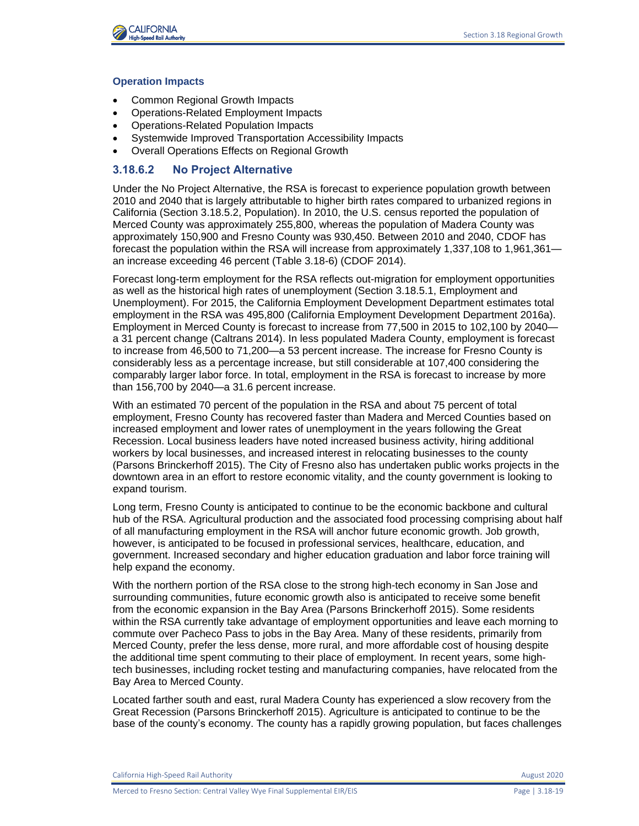

#### **Operation Impacts**

- Common Regional Growth Impacts
- Operations-Related Employment Impacts
- Operations-Related Population Impacts
- Systemwide Improved Transportation Accessibility Impacts
- Overall Operations Effects on Regional Growth

#### **3.18.6.2 No Project Alternative**

Under the No Project Alternative, the RSA is forecast to experience population growth between 2010 and 2040 that is largely attributable to higher birth rates compared to urbanized regions in California (Section 3.18.5.2, Population). In 2010, the U.S. census reported the population of Merced County was approximately 255,800, whereas the population of Madera County was approximately 150,900 and Fresno County was 930,450. Between 2010 and 2040, CDOF has forecast the population within the RSA will increase from approximately 1,337,108 to 1,961,361 an increase exceeding 46 percent (Table 3.18-6) (CDOF 2014).

Forecast long-term employment for the RSA reflects out-migration for employment opportunities as well as the historical high rates of unemployment (Section 3.18.5.1, Employment and Unemployment). For 2015, the California Employment Development Department estimates total employment in the RSA was 495,800 (California Employment Development Department 2016a). Employment in Merced County is forecast to increase from 77,500 in 2015 to 102,100 by 2040 a 31 percent change (Caltrans 2014). In less populated Madera County, employment is forecast to increase from 46,500 to 71,200—a 53 percent increase. The increase for Fresno County is considerably less as a percentage increase, but still considerable at 107,400 considering the comparably larger labor force. In total, employment in the RSA is forecast to increase by more than 156,700 by 2040—a 31.6 percent increase.

With an estimated 70 percent of the population in the RSA and about 75 percent of total employment, Fresno County has recovered faster than Madera and Merced Counties based on increased employment and lower rates of unemployment in the years following the Great Recession. Local business leaders have noted increased business activity, hiring additional workers by local businesses, and increased interest in relocating businesses to the county (Parsons Brinckerhoff 2015). The City of Fresno also has undertaken public works projects in the downtown area in an effort to restore economic vitality, and the county government is looking to expand tourism.

Long term, Fresno County is anticipated to continue to be the economic backbone and cultural hub of the RSA. Agricultural production and the associated food processing comprising about half of all manufacturing employment in the RSA will anchor future economic growth. Job growth, however, is anticipated to be focused in professional services, healthcare, education, and government. Increased secondary and higher education graduation and labor force training will help expand the economy.

With the northern portion of the RSA close to the strong high-tech economy in San Jose and surrounding communities, future economic growth also is anticipated to receive some benefit from the economic expansion in the Bay Area (Parsons Brinckerhoff 2015). Some residents within the RSA currently take advantage of employment opportunities and leave each morning to commute over Pacheco Pass to jobs in the Bay Area. Many of these residents, primarily from Merced County, prefer the less dense, more rural, and more affordable cost of housing despite the additional time spent commuting to their place of employment. In recent years, some hightech businesses, including rocket testing and manufacturing companies, have relocated from the Bay Area to Merced County.

Located farther south and east, rural Madera County has experienced a slow recovery from the Great Recession (Parsons Brinckerhoff 2015). Agriculture is anticipated to continue to be the base of the county's economy. The county has a rapidly growing population, but faces challenges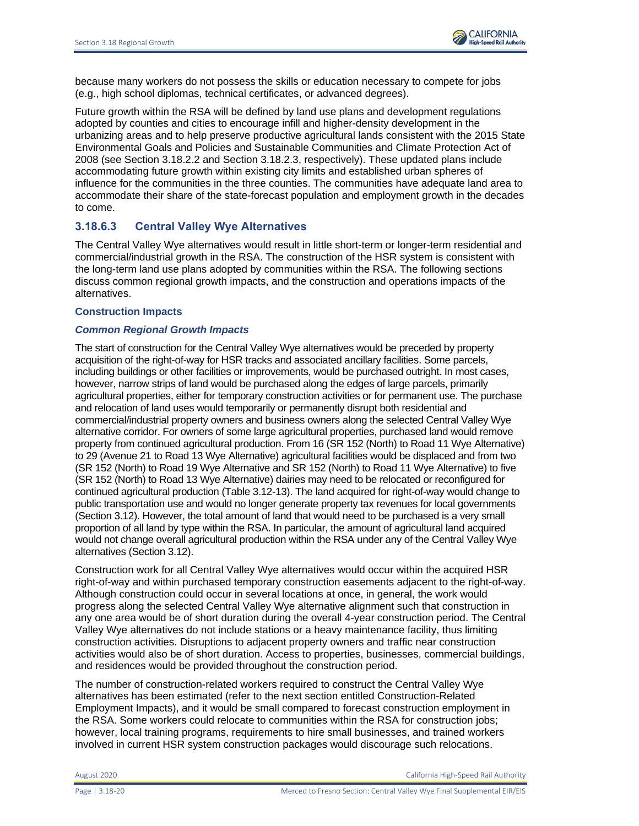because many workers do not possess the skills or education necessary to compete for jobs (e.g., high school diplomas, technical certificates, or advanced degrees).

Future growth within the RSA will be defined by land use plans and development regulations adopted by counties and cities to encourage infill and higher-density development in the urbanizing areas and to help preserve productive agricultural lands consistent with the 2015 State Environmental Goals and Policies and Sustainable Communities and Climate Protection Act of 2008 (see Section 3.18.2.2 and Section 3.18.2.3, respectively). These updated plans include accommodating future growth within existing city limits and established urban spheres of influence for the communities in the three counties. The communities have adequate land area to accommodate their share of the state-forecast population and employment growth in the decades to come.

# **3.18.6.3 Central Valley Wye Alternatives**

The Central Valley Wye alternatives would result in little short-term or longer-term residential and commercial/industrial growth in the RSA. The construction of the HSR system is consistent with the long-term land use plans adopted by communities within the RSA. The following sections discuss common regional growth impacts, and the construction and operations impacts of the alternatives.

### **Construction Impacts**

## *Common Regional Growth Impacts*

The start of construction for the Central Valley Wye alternatives would be preceded by property acquisition of the right-of-way for HSR tracks and associated ancillary facilities. Some parcels, including buildings or other facilities or improvements, would be purchased outright. In most cases, however, narrow strips of land would be purchased along the edges of large parcels, primarily agricultural properties, either for temporary construction activities or for permanent use. The purchase and relocation of land uses would temporarily or permanently disrupt both residential and commercial/industrial property owners and business owners along the selected Central Valley Wye alternative corridor. For owners of some large agricultural properties, purchased land would remove property from continued agricultural production. From 16 (SR 152 (North) to Road 11 Wye Alternative) to 29 (Avenue 21 to Road 13 Wye Alternative) agricultural facilities would be displaced and from two (SR 152 (North) to Road 19 Wye Alternative and SR 152 (North) to Road 11 Wye Alternative) to five (SR 152 (North) to Road 13 Wye Alternative) dairies may need to be relocated or reconfigured for continued agricultural production (Table 3.12-13). The land acquired for right-of-way would change to public transportation use and would no longer generate property tax revenues for local governments (Section 3.12). However, the total amount of land that would need to be purchased is a very small proportion of all land by type within the RSA. In particular, the amount of agricultural land acquired would not change overall agricultural production within the RSA under any of the Central Valley Wye alternatives (Section 3.12).

Construction work for all Central Valley Wye alternatives would occur within the acquired HSR right-of-way and within purchased temporary construction easements adjacent to the right-of-way. Although construction could occur in several locations at once, in general, the work would progress along the selected Central Valley Wye alternative alignment such that construction in any one area would be of short duration during the overall 4-year construction period. The Central Valley Wye alternatives do not include stations or a heavy maintenance facility, thus limiting construction activities. Disruptions to adjacent property owners and traffic near construction activities would also be of short duration. Access to properties, businesses, commercial buildings, and residences would be provided throughout the construction period.

The number of construction-related workers required to construct the Central Valley Wye alternatives has been estimated (refer to the next section entitled Construction-Related Employment Impacts), and it would be small compared to forecast construction employment in the RSA. Some workers could relocate to communities within the RSA for construction jobs; however, local training programs, requirements to hire small businesses, and trained workers involved in current HSR system construction packages would discourage such relocations.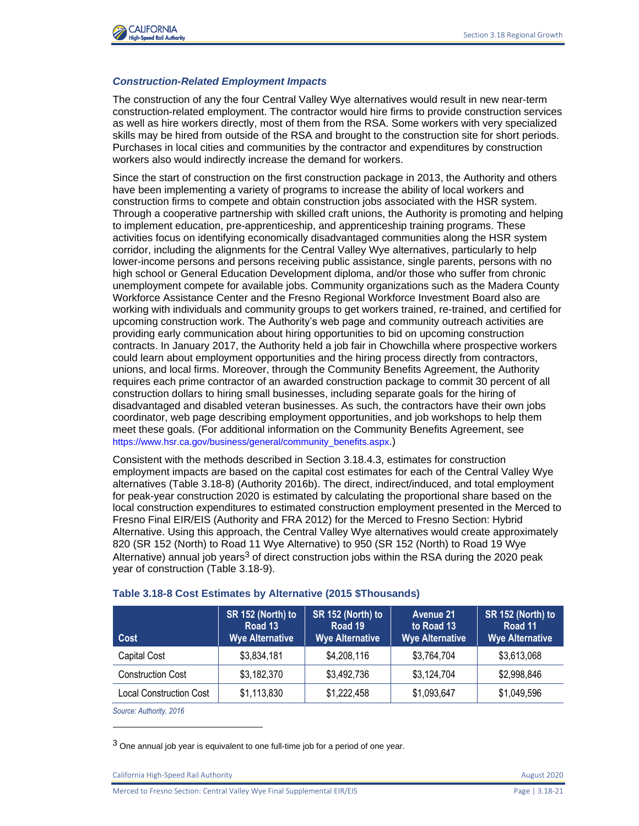

#### *Construction-Related Employment Impacts*

The construction of any the four Central Valley Wye alternatives would result in new near-term construction-related employment. The contractor would hire firms to provide construction services as well as hire workers directly, most of them from the RSA. Some workers with very specialized skills may be hired from outside of the RSA and brought to the construction site for short periods. Purchases in local cities and communities by the contractor and expenditures by construction workers also would indirectly increase the demand for workers.

Since the start of construction on the first construction package in 2013, the Authority and others have been implementing a variety of programs to increase the ability of local workers and construction firms to compete and obtain construction jobs associated with the HSR system. Through a cooperative partnership with skilled craft unions, the Authority is promoting and helping to implement education, pre-apprenticeship, and apprenticeship training programs. These activities focus on identifying economically disadvantaged communities along the HSR system corridor, including the alignments for the Central Valley Wye alternatives, particularly to help lower-income persons and persons receiving public assistance, single parents, persons with no high school or General Education Development diploma, and/or those who suffer from chronic unemployment compete for available jobs. Community organizations such as the Madera County Workforce Assistance Center and the Fresno Regional Workforce Investment Board also are working with individuals and community groups to get workers trained, re-trained, and certified for upcoming construction work. The Authority's web page and community outreach activities are providing early communication about hiring opportunities to bid on upcoming construction contracts. In January 2017, the Authority held a job fair in Chowchilla where prospective workers could learn about employment opportunities and the hiring process directly from contractors, unions, and local firms. Moreover, through the Community Benefits Agreement, the Authority requires each prime contractor of an awarded construction package to commit 30 percent of all construction dollars to hiring small businesses, including separate goals for the hiring of disadvantaged and disabled veteran businesses. As such, the contractors have their own jobs coordinator, web page describing employment opportunities, and job workshops to help them meet these goals. (For additional information on the Community Benefits Agreement, see [https://www.hsr.ca.gov/business/general/community\\_benefits.aspx](https://www.hsr.ca.gov/business/general/community_benefits.aspx).)

Consistent with the methods described in Section 3.18.4.3, estimates for construction employment impacts are based on the capital cost estimates for each of the Central Valley Wye alternatives (Table 3.18-8) (Authority 2016b). The direct, indirect/induced, and total employment for peak-year construction 2020 is estimated by calculating the proportional share based on the local construction expenditures to estimated construction employment presented in the Merced to Fresno Final EIR/EIS (Authority and FRA 2012) for the Merced to Fresno Section: Hybrid Alternative. Using this approach, the Central Valley Wye alternatives would create approximately 820 (SR 152 (North) to Road 11 Wye Alternative) to 950 (SR 152 (North) to Road 19 Wye Alternative) annual job years<sup>3</sup> of direct construction jobs within the RSA during the 2020 peak year of construction (Table 3.18-9).

| Cost                     | SR 152 (North) to<br>Road 13<br><b>Wye Alternative</b> | SR 152 (North) to<br>Road 19<br><b>Wye Alternative</b> | <b>Avenue 21</b><br>to Road 13<br><b>Wye Alternative</b> | SR 152 (North) to<br>Road 11<br><b>Wye Alternative</b> |
|--------------------------|--------------------------------------------------------|--------------------------------------------------------|----------------------------------------------------------|--------------------------------------------------------|
| Capital Cost             | \$3,834,181                                            | \$4,208,116                                            | \$3,764,704                                              | \$3,613,068                                            |
| <b>Construction Cost</b> | \$3,182,370                                            | \$3,492,736                                            | \$3,124,704                                              | \$2,998,846                                            |
| Local Construction Cost  | \$1,113,830                                            | \$1,222,458                                            | \$1,093,647                                              | \$1,049,596                                            |

#### **Table 3.18-8 Cost Estimates by Alternative (2015 \$Thousands)**

*Source: Authority, 2016*

 $3$  One annual job year is equivalent to one full-time job for a period of one year.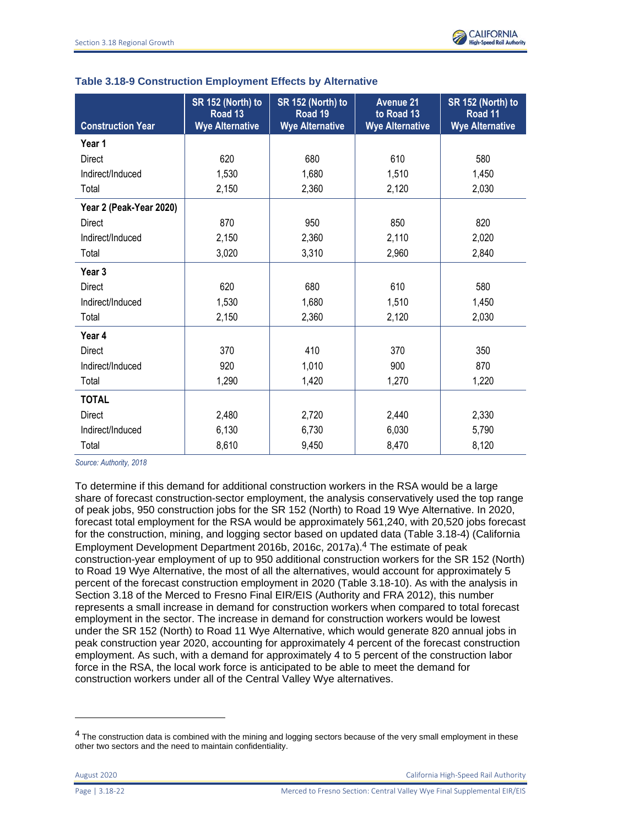|                          | SR 152 (North) to<br>Road 13 | SR 152 (North) to<br>Road 19 | <b>Avenue 21</b><br>to Road 13 | SR 152 (North) to<br>Road 11 |
|--------------------------|------------------------------|------------------------------|--------------------------------|------------------------------|
| <b>Construction Year</b> | <b>Wye Alternative</b>       | <b>Wye Alternative</b>       | <b>Wye Alternative</b>         | <b>Wye Alternative</b>       |
| Year 1                   |                              |                              |                                |                              |
| <b>Direct</b>            | 620                          | 680                          | 610                            | 580                          |
| Indirect/Induced         | 1,530                        | 1,680                        | 1,510                          | 1,450                        |
| Total                    | 2,150                        | 2,360                        | 2,120                          | 2,030                        |
| Year 2 (Peak-Year 2020)  |                              |                              |                                |                              |
| <b>Direct</b>            | 870                          | 950                          | 850                            | 820                          |
| Indirect/Induced         | 2,150                        | 2,360                        | 2,110                          | 2,020                        |
| Total                    | 3,020                        | 3,310                        | 2,960                          | 2,840                        |
| Year <sub>3</sub>        |                              |                              |                                |                              |
| <b>Direct</b>            | 620                          | 680                          | 610                            | 580                          |
| Indirect/Induced         | 1,530                        | 1,680                        | 1,510                          | 1,450                        |
| Total                    | 2,150                        | 2,360                        | 2,120                          | 2,030                        |
| Year 4                   |                              |                              |                                |                              |
| <b>Direct</b>            | 370                          | 410                          | 370                            | 350                          |
| Indirect/Induced         | 920                          | 1,010                        | 900                            | 870                          |
| Total                    | 1,290                        | 1,420                        | 1,270                          | 1,220                        |
| <b>TOTAL</b>             |                              |                              |                                |                              |
| <b>Direct</b>            | 2,480                        | 2,720                        | 2,440                          | 2,330                        |
| Indirect/Induced         | 6,130                        | 6,730                        | 6,030                          | 5,790                        |
| Total                    | 8,610                        | 9,450                        | 8,470                          | 8,120                        |

### **Table 3.18-9 Construction Employment Effects by Alternative**

*Source: Authority, 2018*

To determine if this demand for additional construction workers in the RSA would be a large share of forecast construction-sector employment, the analysis conservatively used the top range of peak jobs, 950 construction jobs for the SR 152 (North) to Road 19 Wye Alternative. In 2020, forecast total employment for the RSA would be approximately 561,240, with 20,520 jobs forecast for the construction, mining, and logging sector based on updated data (Table 3.18-4) (California Employment Development Department 2016b, 2016c, 2017a).4 The estimate of peak construction-year employment of up to 950 additional construction workers for the SR 152 (North) to Road 19 Wye Alternative, the most of all the alternatives, would account for approximately 5 percent of the forecast construction employment in 2020 (Table 3.18-10). As with the analysis in Section 3.18 of the Merced to Fresno Final EIR/EIS (Authority and FRA 2012), this number represents a small increase in demand for construction workers when compared to total forecast employment in the sector. The increase in demand for construction workers would be lowest under the SR 152 (North) to Road 11 Wye Alternative, which would generate 820 annual jobs in peak construction year 2020, accounting for approximately 4 percent of the forecast construction employment. As such, with a demand for approximately 4 to 5 percent of the construction labor force in the RSA, the local work force is anticipated to be able to meet the demand for construction workers under all of the Central Valley Wye alternatives.

August 2020 California High-Speed Rail Authority

<sup>&</sup>lt;sup>4</sup> The construction data is combined with the mining and logging sectors because of the very small employment in these other two sectors and the need to maintain confidentiality.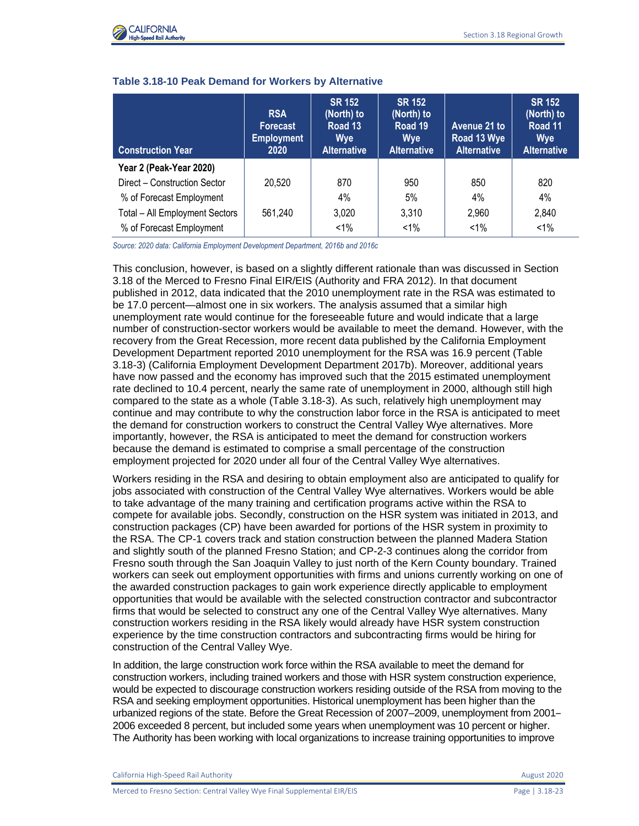

| <b>Construction Year</b>       | <b>RSA</b><br><b>Forecast</b><br><b>Employment</b><br>2020 | <b>SR 152</b><br>(North) to<br>Road 13<br><b>Wye</b><br><b>Alternative</b> | <b>SR 152</b><br>(North) to<br>Road 19<br><b>Wye</b><br><b>Alternative</b> | Avenue 21 to<br>Road 13 Wye<br><b>Alternative</b> | <b>SR 152</b><br>(North) to<br>Road 11<br><b>Wye</b><br><b>Alternative</b> |
|--------------------------------|------------------------------------------------------------|----------------------------------------------------------------------------|----------------------------------------------------------------------------|---------------------------------------------------|----------------------------------------------------------------------------|
| Year 2 (Peak-Year 2020)        |                                                            |                                                                            |                                                                            |                                                   |                                                                            |
| Direct - Construction Sector   | 20,520                                                     | 870                                                                        | 950                                                                        | 850                                               | 820                                                                        |
| % of Forecast Employment       |                                                            | 4%                                                                         | 5%                                                                         | 4%                                                | 4%                                                                         |
| Total - All Employment Sectors | 561,240                                                    | 3,020                                                                      | 3,310                                                                      | 2,960                                             | 2,840                                                                      |
| % of Forecast Employment       |                                                            | $< 1\%$                                                                    | $< 1\%$                                                                    | $< 1\%$                                           | $1\%$                                                                      |

#### **Table 3.18-10 Peak Demand for Workers by Alternative**

*Source: 2020 data: California Employment Development Department, 2016b and 2016c*

This conclusion, however, is based on a slightly different rationale than was discussed in Section 3.18 of the Merced to Fresno Final EIR/EIS (Authority and FRA 2012). In that document published in 2012, data indicated that the 2010 unemployment rate in the RSA was estimated to be 17.0 percent—almost one in six workers. The analysis assumed that a similar high unemployment rate would continue for the foreseeable future and would indicate that a large number of construction-sector workers would be available to meet the demand. However, with the recovery from the Great Recession, more recent data published by the California Employment Development Department reported 2010 unemployment for the RSA was 16.9 percent (Table 3.18-3) (California Employment Development Department 2017b). Moreover, additional years have now passed and the economy has improved such that the 2015 estimated unemployment rate declined to 10.4 percent, nearly the same rate of unemployment in 2000, although still high compared to the state as a whole (Table 3.18-3). As such, relatively high unemployment may continue and may contribute to why the construction labor force in the RSA is anticipated to meet the demand for construction workers to construct the Central Valley Wye alternatives. More importantly, however, the RSA is anticipated to meet the demand for construction workers because the demand is estimated to comprise a small percentage of the construction employment projected for 2020 under all four of the Central Valley Wye alternatives.

Workers residing in the RSA and desiring to obtain employment also are anticipated to qualify for jobs associated with construction of the Central Valley Wye alternatives. Workers would be able to take advantage of the many training and certification programs active within the RSA to compete for available jobs. Secondly, construction on the HSR system was initiated in 2013, and construction packages (CP) have been awarded for portions of the HSR system in proximity to the RSA. The CP-1 covers track and station construction between the planned Madera Station and slightly south of the planned Fresno Station; and CP-2-3 continues along the corridor from Fresno south through the San Joaquin Valley to just north of the Kern County boundary. Trained workers can seek out employment opportunities with firms and unions currently working on one of the awarded construction packages to gain work experience directly applicable to employment opportunities that would be available with the selected construction contractor and subcontractor firms that would be selected to construct any one of the Central Valley Wye alternatives. Many construction workers residing in the RSA likely would already have HSR system construction experience by the time construction contractors and subcontracting firms would be hiring for construction of the Central Valley Wye.

In addition, the large construction work force within the RSA available to meet the demand for construction workers, including trained workers and those with HSR system construction experience, would be expected to discourage construction workers residing outside of the RSA from moving to the RSA and seeking employment opportunities. Historical unemployment has been higher than the urbanized regions of the state. Before the Great Recession of 2007–2009, unemployment from 2001– 2006 exceeded 8 percent, but included some years when unemployment was 10 percent or higher. The Authority has been working with local organizations to increase training opportunities to improve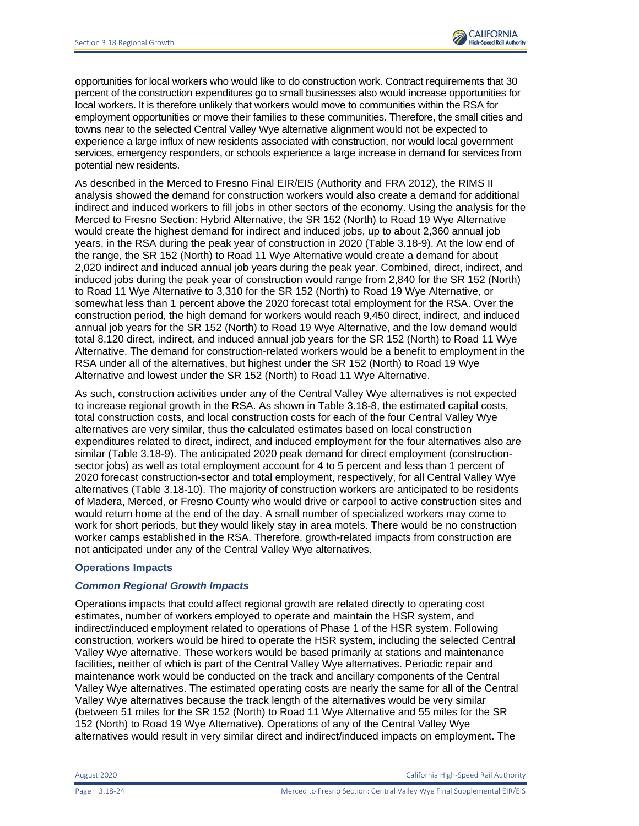opportunities for local workers who would like to do construction work. Contract requirements that 30 percent of the construction expenditures go to small businesses also would increase opportunities for local workers. It is therefore unlikely that workers would move to communities within the RSA for employment opportunities or move their families to these communities. Therefore, the small cities and towns near to the selected Central Valley Wye alternative alignment would not be expected to experience a large influx of new residents associated with construction, nor would local government services, emergency responders, or schools experience a large increase in demand for services from potential new residents.

As described in the Merced to Fresno Final EIR/EIS (Authority and FRA 2012), the RIMS II analysis showed the demand for construction workers would also create a demand for additional indirect and induced workers to fill jobs in other sectors of the economy. Using the analysis for the Merced to Fresno Section: Hybrid Alternative, the SR 152 (North) to Road 19 Wye Alternative would create the highest demand for indirect and induced jobs, up to about 2,360 annual job years, in the RSA during the peak year of construction in 2020 (Table 3.18-9). At the low end of the range, the SR 152 (North) to Road 11 Wye Alternative would create a demand for about 2,020 indirect and induced annual job years during the peak year. Combined, direct, indirect, and induced jobs during the peak year of construction would range from 2,840 for the SR 152 (North) to Road 11 Wye Alternative to 3,310 for the SR 152 (North) to Road 19 Wye Alternative, or somewhat less than 1 percent above the 2020 forecast total employment for the RSA. Over the construction period, the high demand for workers would reach 9,450 direct, indirect, and induced annual job years for the SR 152 (North) to Road 19 Wye Alternative, and the low demand would total 8,120 direct, indirect, and induced annual job years for the SR 152 (North) to Road 11 Wye Alternative. The demand for construction-related workers would be a benefit to employment in the RSA under all of the alternatives, but highest under the SR 152 (North) to Road 19 Wye Alternative and lowest under the SR 152 (North) to Road 11 Wye Alternative.

As such, construction activities under any of the Central Valley Wye alternatives is not expected to increase regional growth in the RSA. As shown in Table 3.18-8, the estimated capital costs, total construction costs, and local construction costs for each of the four Central Valley Wye alternatives are very similar, thus the calculated estimates based on local construction expenditures related to direct, indirect, and induced employment for the four alternatives also are similar (Table 3.18-9). The anticipated 2020 peak demand for direct employment (constructionsector jobs) as well as total employment account for 4 to 5 percent and less than 1 percent of 2020 forecast construction-sector and total employment, respectively, for all Central Valley Wye alternatives (Table 3.18-10). The majority of construction workers are anticipated to be residents of Madera, Merced, or Fresno County who would drive or carpool to active construction sites and would return home at the end of the day. A small number of specialized workers may come to work for short periods, but they would likely stay in area motels. There would be no construction worker camps established in the RSA. Therefore, growth-related impacts from construction are not anticipated under any of the Central Valley Wye alternatives.

### **Operations Impacts**

### *Common Regional Growth Impacts*

Operations impacts that could affect regional growth are related directly to operating cost estimates, number of workers employed to operate and maintain the HSR system, and indirect/induced employment related to operations of Phase 1 of the HSR system. Following construction, workers would be hired to operate the HSR system, including the selected Central Valley Wye alternative. These workers would be based primarily at stations and maintenance facilities, neither of which is part of the Central Valley Wye alternatives. Periodic repair and maintenance work would be conducted on the track and ancillary components of the Central Valley Wye alternatives. The estimated operating costs are nearly the same for all of the Central Valley Wye alternatives because the track length of the alternatives would be very similar (between 51 miles for the SR 152 (North) to Road 11 Wye Alternative and 55 miles for the SR 152 (North) to Road 19 Wye Alternative). Operations of any of the Central Valley Wye alternatives would result in very similar direct and indirect/induced impacts on employment. The

August 2020 California High-Speed Rail Authority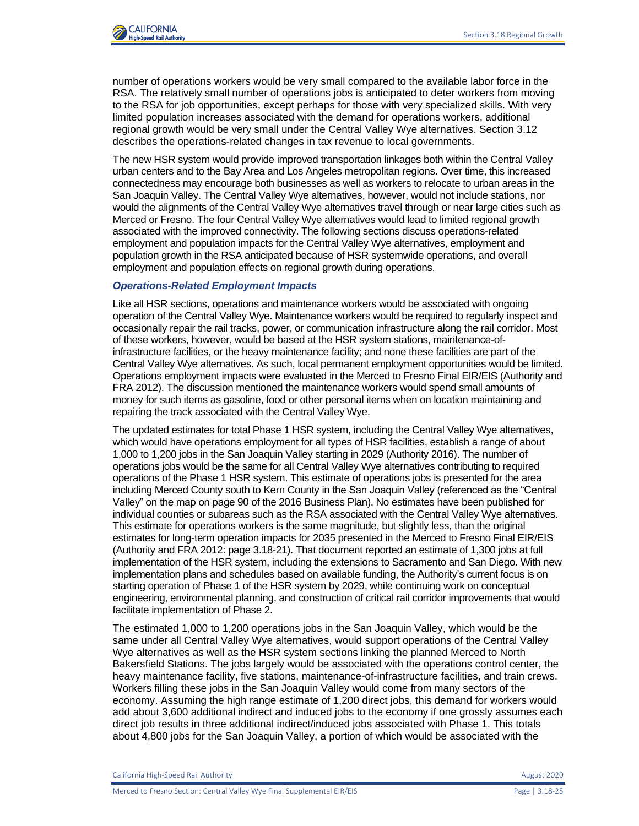

number of operations workers would be very small compared to the available labor force in the RSA. The relatively small number of operations jobs is anticipated to deter workers from moving to the RSA for job opportunities, except perhaps for those with very specialized skills. With very limited population increases associated with the demand for operations workers, additional regional growth would be very small under the Central Valley Wye alternatives. Section 3.12 describes the operations-related changes in tax revenue to local governments.

The new HSR system would provide improved transportation linkages both within the Central Valley urban centers and to the Bay Area and Los Angeles metropolitan regions. Over time, this increased connectedness may encourage both businesses as well as workers to relocate to urban areas in the San Joaquin Valley. The Central Valley Wye alternatives, however, would not include stations, nor would the alignments of the Central Valley Wye alternatives travel through or near large cities such as Merced or Fresno. The four Central Valley Wye alternatives would lead to limited regional growth associated with the improved connectivity. The following sections discuss operations-related employment and population impacts for the Central Valley Wye alternatives, employment and population growth in the RSA anticipated because of HSR systemwide operations, and overall employment and population effects on regional growth during operations.

#### *Operations-Related Employment Impacts*

Like all HSR sections, operations and maintenance workers would be associated with ongoing operation of the Central Valley Wye. Maintenance workers would be required to regularly inspect and occasionally repair the rail tracks, power, or communication infrastructure along the rail corridor. Most of these workers, however, would be based at the HSR system stations, maintenance-ofinfrastructure facilities, or the heavy maintenance facility; and none these facilities are part of the Central Valley Wye alternatives. As such, local permanent employment opportunities would be limited. Operations employment impacts were evaluated in the Merced to Fresno Final EIR/EIS (Authority and FRA 2012). The discussion mentioned the maintenance workers would spend small amounts of money for such items as gasoline, food or other personal items when on location maintaining and repairing the track associated with the Central Valley Wye.

The updated estimates for total Phase 1 HSR system, including the Central Valley Wye alternatives, which would have operations employment for all types of HSR facilities, establish a range of about 1,000 to 1,200 jobs in the San Joaquin Valley starting in 2029 (Authority 2016). The number of operations jobs would be the same for all Central Valley Wye alternatives contributing to required operations of the Phase 1 HSR system. This estimate of operations jobs is presented for the area including Merced County south to Kern County in the San Joaquin Valley (referenced as the "Central Valley" on the map on page 90 of the 2016 Business Plan). No estimates have been published for individual counties or subareas such as the RSA associated with the Central Valley Wye alternatives. This estimate for operations workers is the same magnitude, but slightly less, than the original estimates for long-term operation impacts for 2035 presented in the Merced to Fresno Final EIR/EIS (Authority and FRA 2012: page 3.18-21). That document reported an estimate of 1,300 jobs at full implementation of the HSR system, including the extensions to Sacramento and San Diego. With new implementation plans and schedules based on available funding, the Authority's current focus is on starting operation of Phase 1 of the HSR system by 2029, while continuing work on conceptual engineering, environmental planning, and construction of critical rail corridor improvements that would facilitate implementation of Phase 2.

The estimated 1,000 to 1,200 operations jobs in the San Joaquin Valley, which would be the same under all Central Valley Wye alternatives, would support operations of the Central Valley Wye alternatives as well as the HSR system sections linking the planned Merced to North Bakersfield Stations. The jobs largely would be associated with the operations control center, the heavy maintenance facility, five stations, maintenance-of-infrastructure facilities, and train crews. Workers filling these jobs in the San Joaquin Valley would come from many sectors of the economy. Assuming the high range estimate of 1,200 direct jobs, this demand for workers would add about 3,600 additional indirect and induced jobs to the economy if one grossly assumes each direct job results in three additional indirect/induced jobs associated with Phase 1. This totals about 4,800 jobs for the San Joaquin Valley, a portion of which would be associated with the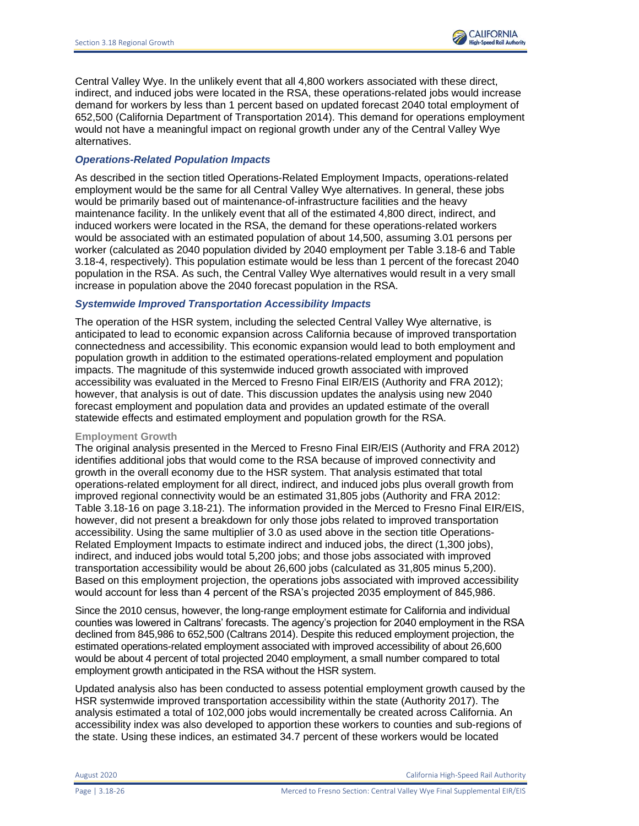Central Valley Wye. In the unlikely event that all 4,800 workers associated with these direct, indirect, and induced jobs were located in the RSA, these operations-related jobs would increase demand for workers by less than 1 percent based on updated forecast 2040 total employment of 652,500 (California Department of Transportation 2014). This demand for operations employment would not have a meaningful impact on regional growth under any of the Central Valley Wye alternatives.

#### *Operations-Related Population Impacts*

As described in the section titled Operations-Related Employment Impacts, operations-related employment would be the same for all Central Valley Wye alternatives. In general, these jobs would be primarily based out of maintenance-of-infrastructure facilities and the heavy maintenance facility. In the unlikely event that all of the estimated 4,800 direct, indirect, and induced workers were located in the RSA, the demand for these operations-related workers would be associated with an estimated population of about 14,500, assuming 3.01 persons per worker (calculated as 2040 population divided by 2040 employment per Table 3.18-6 and Table 3.18-4, respectively). This population estimate would be less than 1 percent of the forecast 2040 population in the RSA. As such, the Central Valley Wye alternatives would result in a very small increase in population above the 2040 forecast population in the RSA.

## *Systemwide Improved Transportation Accessibility Impacts*

The operation of the HSR system, including the selected Central Valley Wye alternative, is anticipated to lead to economic expansion across California because of improved transportation connectedness and accessibility. This economic expansion would lead to both employment and population growth in addition to the estimated operations-related employment and population impacts. The magnitude of this systemwide induced growth associated with improved accessibility was evaluated in the Merced to Fresno Final EIR/EIS (Authority and FRA 2012); however, that analysis is out of date. This discussion updates the analysis using new 2040 forecast employment and population data and provides an updated estimate of the overall statewide effects and estimated employment and population growth for the RSA.

#### **Employment Growth**

The original analysis presented in the Merced to Fresno Final EIR/EIS (Authority and FRA 2012) identifies additional jobs that would come to the RSA because of improved connectivity and growth in the overall economy due to the HSR system. That analysis estimated that total operations-related employment for all direct, indirect, and induced jobs plus overall growth from improved regional connectivity would be an estimated 31,805 jobs (Authority and FRA 2012: Table 3.18-16 on page 3.18-21). The information provided in the Merced to Fresno Final EIR/EIS, however, did not present a breakdown for only those jobs related to improved transportation accessibility. Using the same multiplier of 3.0 as used above in the section title Operations-Related Employment Impacts to estimate indirect and induced jobs, the direct (1,300 jobs), indirect, and induced jobs would total 5,200 jobs; and those jobs associated with improved transportation accessibility would be about 26,600 jobs (calculated as 31,805 minus 5,200). Based on this employment projection, the operations jobs associated with improved accessibility would account for less than 4 percent of the RSA's projected 2035 employment of 845,986.

Since the 2010 census, however, the long-range employment estimate for California and individual counties was lowered in Caltrans' forecasts. The agency's projection for 2040 employment in the RSA declined from 845,986 to 652,500 (Caltrans 2014). Despite this reduced employment projection, the estimated operations-related employment associated with improved accessibility of about 26,600 would be about 4 percent of total projected 2040 employment, a small number compared to total employment growth anticipated in the RSA without the HSR system.

Updated analysis also has been conducted to assess potential employment growth caused by the HSR systemwide improved transportation accessibility within the state (Authority 2017). The analysis estimated a total of 102,000 jobs would incrementally be created across California. An accessibility index was also developed to apportion these workers to counties and sub-regions of the state. Using these indices, an estimated 34.7 percent of these workers would be located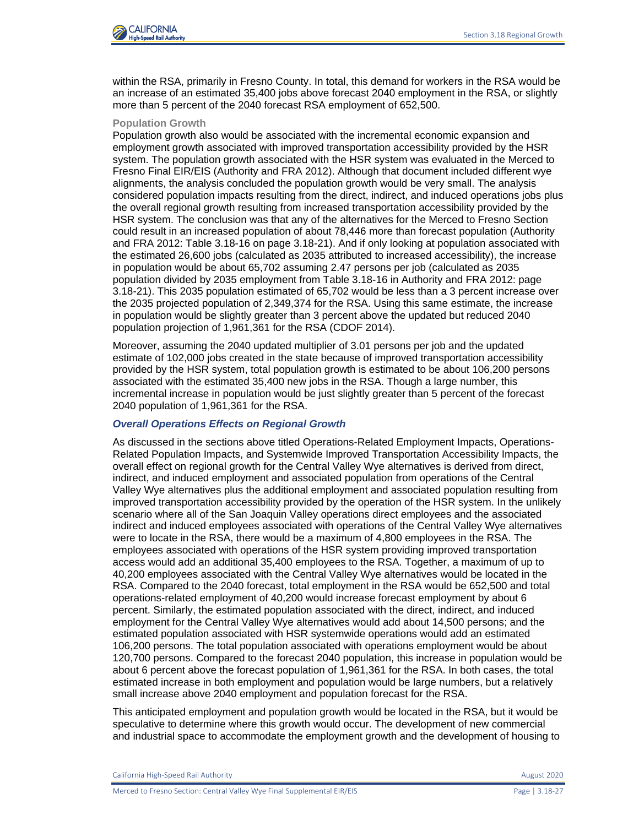

within the RSA, primarily in Fresno County. In total, this demand for workers in the RSA would be an increase of an estimated 35,400 jobs above forecast 2040 employment in the RSA, or slightly more than 5 percent of the 2040 forecast RSA employment of 652,500.

#### **Population Growth**

Population growth also would be associated with the incremental economic expansion and employment growth associated with improved transportation accessibility provided by the HSR system. The population growth associated with the HSR system was evaluated in the Merced to Fresno Final EIR/EIS (Authority and FRA 2012). Although that document included different wye alignments, the analysis concluded the population growth would be very small. The analysis considered population impacts resulting from the direct, indirect, and induced operations jobs plus the overall regional growth resulting from increased transportation accessibility provided by the HSR system. The conclusion was that any of the alternatives for the Merced to Fresno Section could result in an increased population of about 78,446 more than forecast population (Authority and FRA 2012: Table 3.18-16 on page 3.18-21). And if only looking at population associated with the estimated 26,600 jobs (calculated as 2035 attributed to increased accessibility), the increase in population would be about 65,702 assuming 2.47 persons per job (calculated as 2035 population divided by 2035 employment from Table 3.18-16 in Authority and FRA 2012: page 3.18-21). This 2035 population estimated of 65,702 would be less than a 3 percent increase over the 2035 projected population of 2,349,374 for the RSA. Using this same estimate, the increase in population would be slightly greater than 3 percent above the updated but reduced 2040 population projection of 1,961,361 for the RSA (CDOF 2014).

Moreover, assuming the 2040 updated multiplier of 3.01 persons per job and the updated estimate of 102,000 jobs created in the state because of improved transportation accessibility provided by the HSR system, total population growth is estimated to be about 106,200 persons associated with the estimated 35,400 new jobs in the RSA. Though a large number, this incremental increase in population would be just slightly greater than 5 percent of the forecast 2040 population of 1,961,361 for the RSA.

### *Overall Operations Effects on Regional Growth*

As discussed in the sections above titled Operations-Related Employment Impacts, Operations-Related Population Impacts, and Systemwide Improved Transportation Accessibility Impacts, the overall effect on regional growth for the Central Valley Wye alternatives is derived from direct, indirect, and induced employment and associated population from operations of the Central Valley Wye alternatives plus the additional employment and associated population resulting from improved transportation accessibility provided by the operation of the HSR system. In the unlikely scenario where all of the San Joaquin Valley operations direct employees and the associated indirect and induced employees associated with operations of the Central Valley Wye alternatives were to locate in the RSA, there would be a maximum of 4,800 employees in the RSA. The employees associated with operations of the HSR system providing improved transportation access would add an additional 35,400 employees to the RSA. Together, a maximum of up to 40,200 employees associated with the Central Valley Wye alternatives would be located in the RSA. Compared to the 2040 forecast, total employment in the RSA would be 652,500 and total operations-related employment of 40,200 would increase forecast employment by about 6 percent. Similarly, the estimated population associated with the direct, indirect, and induced employment for the Central Valley Wye alternatives would add about 14,500 persons; and the estimated population associated with HSR systemwide operations would add an estimated 106,200 persons. The total population associated with operations employment would be about 120,700 persons. Compared to the forecast 2040 population, this increase in population would be about 6 percent above the forecast population of 1,961,361 for the RSA. In both cases, the total estimated increase in both employment and population would be large numbers, but a relatively small increase above 2040 employment and population forecast for the RSA.

This anticipated employment and population growth would be located in the RSA, but it would be speculative to determine where this growth would occur. The development of new commercial and industrial space to accommodate the employment growth and the development of housing to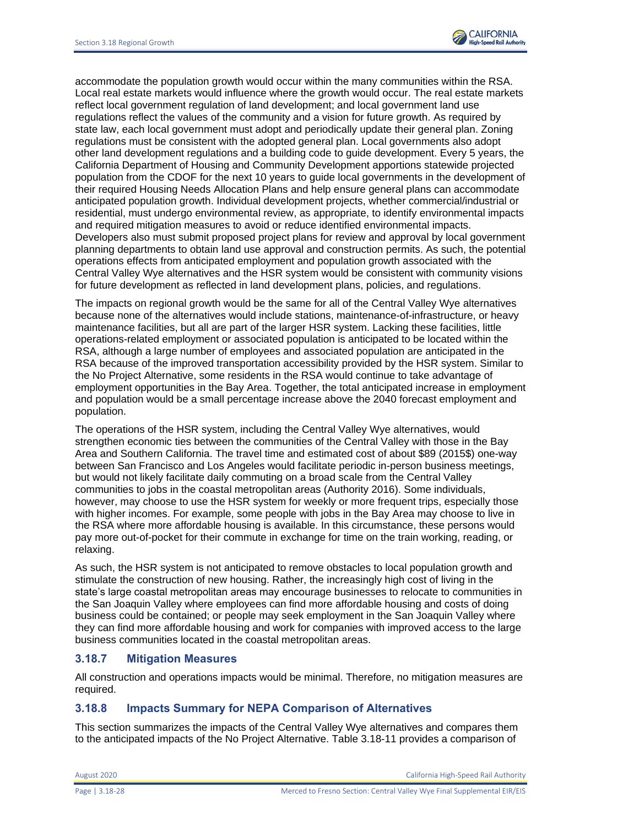

accommodate the population growth would occur within the many communities within the RSA. Local real estate markets would influence where the growth would occur. The real estate markets reflect local government regulation of land development; and local government land use regulations reflect the values of the community and a vision for future growth. As required by state law, each local government must adopt and periodically update their general plan. Zoning regulations must be consistent with the adopted general plan. Local governments also adopt other land development regulations and a building code to guide development. Every 5 years, the California Department of Housing and Community Development apportions statewide projected population from the CDOF for the next 10 years to guide local governments in the development of their required Housing Needs Allocation Plans and help ensure general plans can accommodate anticipated population growth. Individual development projects, whether commercial/industrial or residential, must undergo environmental review, as appropriate, to identify environmental impacts and required mitigation measures to avoid or reduce identified environmental impacts. Developers also must submit proposed project plans for review and approval by local government planning departments to obtain land use approval and construction permits. As such, the potential operations effects from anticipated employment and population growth associated with the Central Valley Wye alternatives and the HSR system would be consistent with community visions for future development as reflected in land development plans, policies, and regulations.

The impacts on regional growth would be the same for all of the Central Valley Wye alternatives because none of the alternatives would include stations, maintenance-of-infrastructure, or heavy maintenance facilities, but all are part of the larger HSR system. Lacking these facilities, little operations-related employment or associated population is anticipated to be located within the RSA, although a large number of employees and associated population are anticipated in the RSA because of the improved transportation accessibility provided by the HSR system. Similar to the No Project Alternative, some residents in the RSA would continue to take advantage of employment opportunities in the Bay Area. Together, the total anticipated increase in employment and population would be a small percentage increase above the 2040 forecast employment and population.

The operations of the HSR system, including the Central Valley Wye alternatives, would strengthen economic ties between the communities of the Central Valley with those in the Bay Area and Southern California. The travel time and estimated cost of about \$89 (2015\$) one-way between San Francisco and Los Angeles would facilitate periodic in-person business meetings, but would not likely facilitate daily commuting on a broad scale from the Central Valley communities to jobs in the coastal metropolitan areas (Authority 2016). Some individuals, however, may choose to use the HSR system for weekly or more frequent trips, especially those with higher incomes. For example, some people with jobs in the Bay Area may choose to live in the RSA where more affordable housing is available. In this circumstance, these persons would pay more out-of-pocket for their commute in exchange for time on the train working, reading, or relaxing.

As such, the HSR system is not anticipated to remove obstacles to local population growth and stimulate the construction of new housing. Rather, the increasingly high cost of living in the state's large coastal metropolitan areas may encourage businesses to relocate to communities in the San Joaquin Valley where employees can find more affordable housing and costs of doing business could be contained; or people may seek employment in the San Joaquin Valley where they can find more affordable housing and work for companies with improved access to the large business communities located in the coastal metropolitan areas.

# **3.18.7 Mitigation Measures**

All construction and operations impacts would be minimal. Therefore, no mitigation measures are required.

# **3.18.8 Impacts Summary for NEPA Comparison of Alternatives**

This section summarizes the impacts of the Central Valley Wye alternatives and compares them to the anticipated impacts of the No Project Alternative. Table 3.18-11 provides a comparison of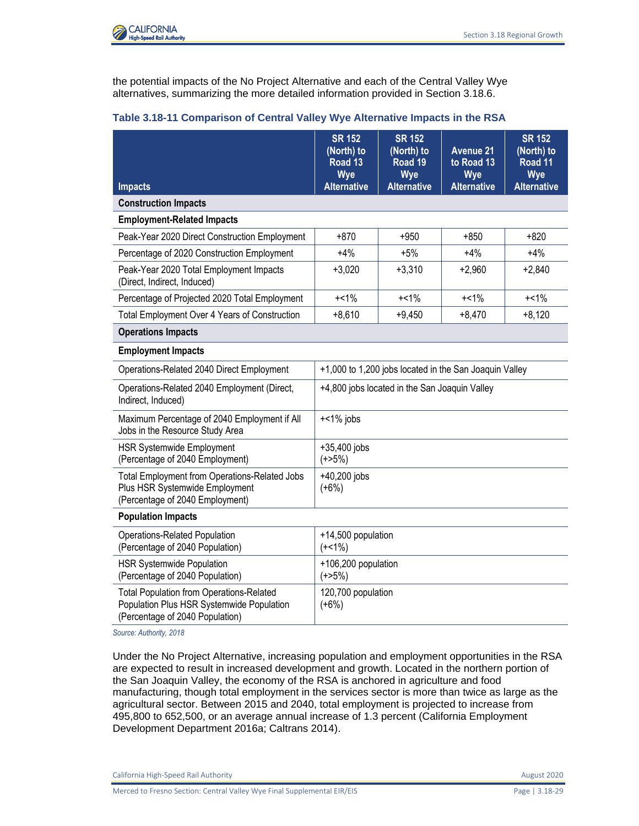

the potential impacts of the No Project Alternative and each of the Central Valley Wye alternatives, summarizing the more detailed information provided in Section 3.18.6.

|                                                                                                                                 | <b>SR 152</b><br>(North) to<br>Road <sub>13</sub><br><b>Wye</b> | <b>SR 152</b><br>(North) to<br>Road 19<br><b>Wye</b> | <b>Avenue 21</b><br>to Road 13<br><b>Wye</b> | <b>SR 152</b><br>(North) to<br>Road 11<br>Wye |
|---------------------------------------------------------------------------------------------------------------------------------|-----------------------------------------------------------------|------------------------------------------------------|----------------------------------------------|-----------------------------------------------|
| <b>Impacts</b><br><b>Construction Impacts</b>                                                                                   | <b>Alternative</b>                                              | <b>Alternative</b>                                   | <b>Alternative</b>                           | <b>Alternative</b>                            |
| <b>Employment-Related Impacts</b>                                                                                               |                                                                 |                                                      |                                              |                                               |
| Peak-Year 2020 Direct Construction Employment                                                                                   | $+870$                                                          | $+950$                                               | $+850$                                       | $+820$                                        |
| Percentage of 2020 Construction Employment                                                                                      | $+4%$                                                           | $+5%$                                                | $+4%$                                        | $+4%$                                         |
| Peak-Year 2020 Total Employment Impacts<br>(Direct, Indirect, Induced)                                                          | $+3,020$                                                        | $+3,310$                                             | $+2,960$                                     | $+2,840$                                      |
| Percentage of Projected 2020 Total Employment                                                                                   | $+<1\%$                                                         | $+<1\%$                                              | $+<1\%$                                      | $+<1\%$                                       |
| <b>Total Employment Over 4 Years of Construction</b>                                                                            | $+8,610$                                                        | $+9,450$                                             | $+8,470$                                     | $+8,120$                                      |
| <b>Operations Impacts</b>                                                                                                       |                                                                 |                                                      |                                              |                                               |
| <b>Employment Impacts</b>                                                                                                       |                                                                 |                                                      |                                              |                                               |
| Operations-Related 2040 Direct Employment                                                                                       | +1,000 to 1,200 jobs located in the San Joaquin Valley          |                                                      |                                              |                                               |
| Operations-Related 2040 Employment (Direct,<br>Indirect, Induced)                                                               | +4,800 jobs located in the San Joaquin Valley                   |                                                      |                                              |                                               |
| Maximum Percentage of 2040 Employment if All<br>Jobs in the Resource Study Area                                                 | $+<1\%$ jobs                                                    |                                                      |                                              |                                               |
| <b>HSR Systemwide Employment</b><br>(Percentage of 2040 Employment)                                                             | +35,400 jobs<br>(+>5%)                                          |                                                      |                                              |                                               |
| Total Employment from Operations-Related Jobs<br>Plus HSR Systemwide Employment<br>(Percentage of 2040 Employment)              | +40,200 jobs<br>$(+6%)$                                         |                                                      |                                              |                                               |
| <b>Population Impacts</b>                                                                                                       |                                                                 |                                                      |                                              |                                               |
| <b>Operations-Related Population</b><br>(Percentage of 2040 Population)                                                         | +14,500 population<br>$(+<1\%)$                                 |                                                      |                                              |                                               |
| <b>HSR Systemwide Population</b><br>(Percentage of 2040 Population)                                                             | +106,200 population<br>$(+25%)$                                 |                                                      |                                              |                                               |
| <b>Total Population from Operations-Related</b><br>Population Plus HSR Systemwide Population<br>(Percentage of 2040 Population) | 120,700 population<br>$(+6%)$                                   |                                                      |                                              |                                               |

#### **Table 3.18-11 Comparison of Central Valley Wye Alternative Impacts in the RSA**

*Source: Authority, 2018*

Under the No Project Alternative, increasing population and employment opportunities in the RSA are expected to result in increased development and growth. Located in the northern portion of the San Joaquin Valley, the economy of the RSA is anchored in agriculture and food manufacturing, though total employment in the services sector is more than twice as large as the agricultural sector. Between 2015 and 2040, total employment is projected to increase from 495,800 to 652,500, or an average annual increase of 1.3 percent (California Employment Development Department 2016a; Caltrans 2014).